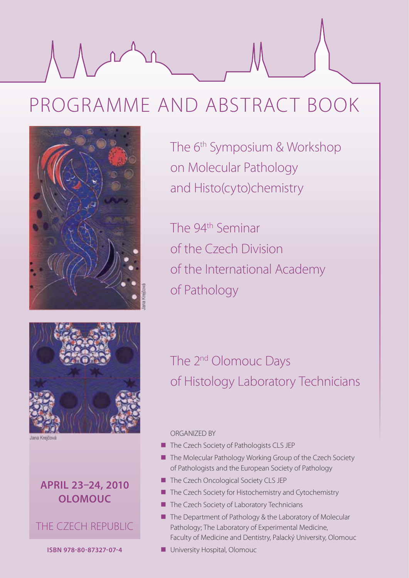# PROGRAMME AND ABSTRACT BOOK



The 6<sup>th</sup> Symposium & Workshop on Molecular Pathology and Histo(cyto)chemistry

The 94<sup>th</sup> Seminar of the Czech Division of the International Academy of Pathology



# **APRIL 23–24, 2010 OLOMOUC**



**ISBN 978-80-87327-07-4**

# The 2<sup>nd</sup> Olomouc Days of Histology Laboratory Technicians

## ORGANIZED BY

- The Czech Society of Pathologists CLS JEP
- The Molecular Pathology Working Group of the Czech Society of Pathologists and the European Society of Pathology
- The Czech Oncological Society CLS JEP
- The Czech Society for Histochemistry and Cytochemistry
- The Czech Society of Laboratory Technicians
- The Department of Pathology & the Laboratory of Molecular Pathology; The Laboratory of Experimental Medicine, Faculty of Medicine and Dentistry, Palacký University, Olomouc
- **University Hospital, Olomoucly**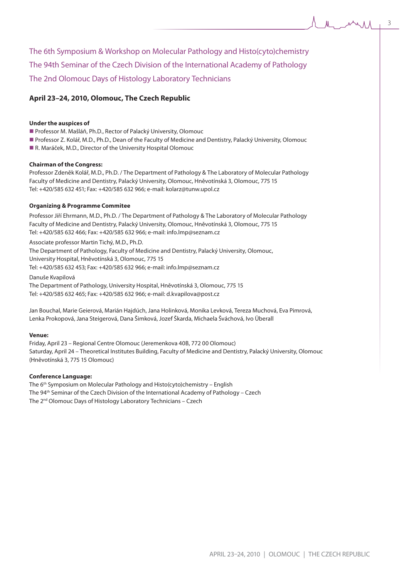The 6th Symposium & Workshop on Molecular Pathology and Histo(cyto)chemistry The 94th Seminar of the Czech Division of the International Academy of Pathology The 2nd Olomouc Days of Histology Laboratory Technicians

## **April 23–24, 2010, Olomouc, The Czech Republic**

#### **Under the auspices of**

- Professor M. Mašláň, Ph.D., Rector of Palacký University, Olomouc
- **Professor Z. Kolář, M.D., Ph.D., Dean of the Faculty of Medicine and Dentistry, Palacký University, Olomouc**
- R. Maráček, M.D., Director of the University Hospital Olomouc

#### **Chairman of the Congress:**

Professor Zdeněk Kolář, M.D., Ph.D. / The Department of Pathology & The Laboratory of Molecular Pathology Faculty of Medicine and Dentistry, Palacký University, Olomouc, Hněvotínská 3, Olomouc, 775 15 Tel: +420/585 632 451; Fax: +420/585 632 966; e-mail: kolarz@tunw.upol.cz

#### **Organizing & Programme Commitee**

Professor Jiří Ehrmann, M.D., Ph.D. / The Department of Pathology & The Laboratory of Molecular Pathology Faculty of Medicine and Dentistry, Palacký University, Olomouc, Hněvotínská 3, Olomouc, 775 15 Tel: +420/585 632 466; Fax: +420/585 632 966; e-mail: info.lmp@seznam.cz

Associate professor Martin Tichý, M.D., Ph.D.

The Department of Pathology, Faculty of Medicine and Dentistry, Palacký University, Olomouc, University Hospital, Hněvotínská 3, Olomouc, 775 15

Tel: +420/585 632 453; Fax: +420/585 632 966; e-mail: info.lmp@seznam.cz

Danuše Kvapilová

The Department of Pathology, University Hospital, Hněvotínská 3, Olomouc, 775 15 Tel: +420/585 632 465; Fax: +420/585 632 966; e-mail: d.kvapilova@post.cz

Jan Bouchal, Marie Geierová, Marián Hajdúch, Jana Holinková, Monika Levková, Tereza Muchová, Eva Pimrová, Lenka Prokopová, Jana Steigerová, Dana Šimková, Jozef Škarda, Michaela Šváchová, Ivo Überall

#### **Venue:**

Friday, April 23 – Regional Centre Olomouc (Jeremenkova 40B, 772 00 Olomouc) Saturday, April 24 – Theoretical Institutes Building, Faculty of Medicine and Dentistry, Palacký University, Olomouc (Hněvotínská 3, 775 15 Olomouc)

#### **Conference Language:**

The 6th Symposium on Molecular Pathology and Histo(cyto)chemistry – English The 94th Seminar of the Czech Division of the International Academy of Pathology – Czech The 2nd Olomouc Days of Histology Laboratory Technicians – Czech

3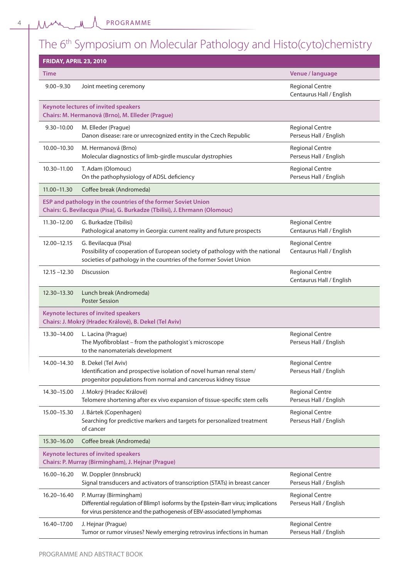4

PROGRAMME

# The 6<sup>th</sup> Symposium on Molecular Pathology and Histo(cyto)chemistry

| <b>FRIDAY, APRIL 23, 2010</b> |                                                                                                                                                                                        |                                                    |
|-------------------------------|----------------------------------------------------------------------------------------------------------------------------------------------------------------------------------------|----------------------------------------------------|
| <b>Time</b>                   |                                                                                                                                                                                        | Venue / language                                   |
| $9.00 - 9.30$                 | Joint meeting ceremony                                                                                                                                                                 | <b>Regional Centre</b><br>Centaurus Hall / English |
|                               | <b>Keynote lectures of invited speakers</b><br>Chairs: M. Hermanová (Brno), M. Elleder (Prague)                                                                                        |                                                    |
| $9.30 - 10.00$                | M. Elleder (Prague)<br>Danon disease: rare or unrecognized entity in the Czech Republic                                                                                                | <b>Regional Centre</b><br>Perseus Hall / English   |
| 10.00-10.30                   | M. Hermanová (Brno)<br>Molecular diagnostics of limb-girdle muscular dystrophies                                                                                                       | <b>Regional Centre</b><br>Perseus Hall / English   |
| 10.30-11.00                   | T. Adam (Olomouc)<br>On the pathophysiology of ADSL deficiency                                                                                                                         | <b>Regional Centre</b><br>Perseus Hall / English   |
| $11.00 - 11.30$               | Coffee break (Andromeda)                                                                                                                                                               |                                                    |
|                               | ESP and pathology in the countries of the former Soviet Union<br>Chairs: G. Bevilacqua (Pisa), G. Burkadze (Tbilisi), J. Ehrmann (Olomouc)                                             |                                                    |
| 11.30-12.00                   | G. Burkadze (Tbilisi)<br>Pathological anatomy in Georgia: current reality and future prospects                                                                                         | <b>Regional Centre</b><br>Centaurus Hall / English |
| 12.00-12.15                   | G. Bevilacqua (Pisa)<br>Possibility of cooperation of European society of pathology with the national<br>societies of pathology in the countries of the former Soviet Union            | <b>Regional Centre</b><br>Centaurus Hall / English |
| $12.15 - 12.30$               | Discussion                                                                                                                                                                             | <b>Regional Centre</b><br>Centaurus Hall / English |
| 12.30-13.30                   | Lunch break (Andromeda)<br><b>Poster Session</b>                                                                                                                                       |                                                    |
|                               | <b>Keynote lectures of invited speakers</b><br>Chairs: J. Mokrý (Hradec Králové), B. Dekel (Tel Aviv)                                                                                  |                                                    |
| 13.30-14.00                   | L. Lacina (Prague)<br>The Myofibroblast - from the pathologist's microscope<br>to the nanomaterials development                                                                        | <b>Regional Centre</b><br>Perseus Hall / English   |
| 14.00-14.30                   | B. Dekel (Tel Aviv)<br>Identification and prospective isolation of novel human renal stem/<br>progenitor populations from normal and cancerous kidney tissue                           | <b>Regional Centre</b><br>Perseus Hall / English   |
| 14.30-15.00                   | J. Mokrý (Hradec Králové)<br>Telomere shortening after ex vivo expansion of tissue-specific stem cells                                                                                 | <b>Regional Centre</b><br>Perseus Hall / English   |
| 15.00-15.30                   | J. Bártek (Copenhagen)<br>Searching for predictive markers and targets for personalized treatment<br>of cancer                                                                         | <b>Regional Centre</b><br>Perseus Hall / English   |
| 15.30-16.00                   | Coffee break (Andromeda)                                                                                                                                                               |                                                    |
|                               | <b>Keynote lectures of invited speakers</b><br>Chairs: P. Murray (Birmingham), J. Hejnar (Prague)                                                                                      |                                                    |
| 16.00-16.20                   | W. Doppler (Innsbruck)<br>Signal transducers and activators of transcription (STATs) in breast cancer                                                                                  | <b>Regional Centre</b><br>Perseus Hall / English   |
| 16.20-16.40                   | P. Murray (Birmingham)<br>Differential regulation of Blimp1 isoforms by the Epstein-Barr virus; implications<br>for virus persistence and the pathogenesis of EBV-associated lymphomas | <b>Regional Centre</b><br>Perseus Hall / English   |
| 16.40-17.00                   | J. Hejnar (Prague)<br>Tumor or rumor viruses? Newly emerging retrovirus infections in human                                                                                            | <b>Regional Centre</b><br>Perseus Hall / English   |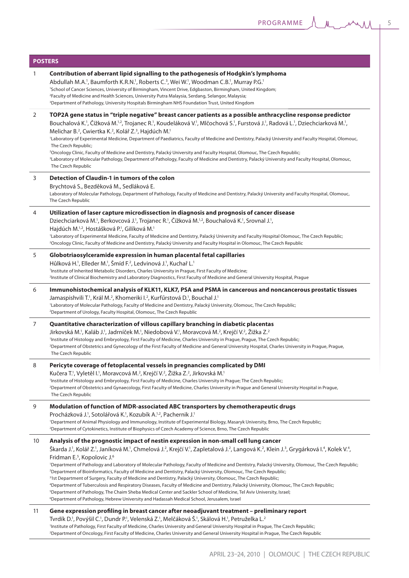ΛA.

| <b>POSTERS</b> |                                                                                                                                                                                                                                                                                                                                                                                                                                                                                                                                                                                                                                                                                                                                                                                                                                                                                                                                                                                                                                                                                                                                                                                                                                                     |
|----------------|-----------------------------------------------------------------------------------------------------------------------------------------------------------------------------------------------------------------------------------------------------------------------------------------------------------------------------------------------------------------------------------------------------------------------------------------------------------------------------------------------------------------------------------------------------------------------------------------------------------------------------------------------------------------------------------------------------------------------------------------------------------------------------------------------------------------------------------------------------------------------------------------------------------------------------------------------------------------------------------------------------------------------------------------------------------------------------------------------------------------------------------------------------------------------------------------------------------------------------------------------------|
| 1              | Contribution of aberrant lipid signalling to the pathogenesis of Hodgkin's lymphoma<br>Abdullah M.A. <sup>1</sup> , Baumforth K.R.N. <sup>1</sup> , Roberts C. <sup>3</sup> , Wei W. <sup>1</sup> , Woodman C.B. <sup>1</sup> , Murray P.G. <sup>1</sup><br>'School of Cancer Sciences, University of Birmingham, Vincent Drive, Edgbaston, Birmingham, United Kingdom;<br><sup>2</sup> Faculty of Medicine and Health Sciences, University Putra Malaysia, Serdang, Selangor, Malaysia;<br><sup>3</sup> Department of Pathology, University Hospitals Birmingham NHS Foundation Trust, United Kingdom                                                                                                                                                                                                                                                                                                                                                                                                                                                                                                                                                                                                                                              |
| 2              | TOP2A gene status in "triple negative" breast cancer patients as a possible anthracycline response predictor<br>Bouchalová K. <sup>1</sup> , Čížková M. <sup>1,2</sup> , Trojanec R. <sup>1</sup> , Koudeláková V. <sup>1</sup> , Mlčochová S. <sup>1</sup> , Furstová J. <sup>1</sup> , Radová L. <sup>1</sup> , Dziechciarková M. <sup>1</sup> ,<br>Melichar B. <sup>2</sup> , Cwiertka K. <sup>2</sup> , Kolář Z. <sup>3</sup> , Hajdúch M. <sup>1</sup><br><sup>1</sup> Laboratory of Experimental Medicine, Department of Paediatrics, Faculty of Medicine and Dentistry, Palacký University and Faculty Hospital, Olomouc,<br>The Czech Republic;<br><sup>2</sup> Oncology Clinic, Faculty of Medicine and Dentistry, Palacký University and Faculty Hospital, Olomouc, The Czech Republic;<br><sup>3</sup> Laboratory of Molecular Pathology, Department of Pathology, Faculty of Medicine and Dentistry, Palacký University and Faculty Hospital, Olomouc,<br>The Czech Republic                                                                                                                                                                                                                                                            |
| 3              | Detection of Claudin-1 in tumors of the colon<br>Brychtová S., Bezděková M., Sedláková E.<br>Laboratory of Molecular Pathology, Department of Pathology, Faculty of Medicine and Dentistry, Palacký University and Faculty Hospital, Olomouc,<br>The Czech Republic                                                                                                                                                                                                                                                                                                                                                                                                                                                                                                                                                                                                                                                                                                                                                                                                                                                                                                                                                                                 |
| 4              | Utilization of laser capture microdissection in diagnosis and prognosis of cancer disease<br>Dziechciarková M. <sup>1</sup> , Berkovcová J. <sup>1</sup> , Trojanec R. <sup>1</sup> , Čížková M. <sup>1,2</sup> , Bouchalová K. <sup>1</sup> , Srovnal J. <sup>1</sup> ,<br>Hajdúch M. <sup>1,2</sup> , Hostášková P. <sup>1</sup> , Gilíková M. <sup>1</sup><br>'Laboratory of Experimental Medicine, Faculty of Medicine and Dentistry, Palacký University and Faculty Hospital Olomouc, The Czech Republic;<br><sup>2</sup> Oncology Clinic, Faculty of Medicine and Dentistry, Palacký University and Faculty Hospital in Olomouc, The Czech Republic                                                                                                                                                                                                                                                                                                                                                                                                                                                                                                                                                                                           |
| 5              | Globotriaosylceramide expression in human placental fetal capillaries<br>Hůlková H. <sup>1</sup> , Elleder M. <sup>1</sup> , Šmíd F. <sup>2</sup> , Ledvinová J. <sup>1</sup> , Kuchař L. <sup>1</sup><br><sup>1</sup> Institute of Inherited Metabolic Disorders, Charles University in Prague, First Faculty of Medicine;<br><sup>2</sup> Institute of Clinical Biochemistry and Laboratory Diagnostics, First Faculty of Medicine and General University Hospital, Prague                                                                                                                                                                                                                                                                                                                                                                                                                                                                                                                                                                                                                                                                                                                                                                        |
| 6              | Immunohistochemical analysis of KLK11, KLK7, PSA and PSMA in cancerous and noncancerous prostatic tissues<br>Jamaspishvili T. <sup>1</sup> , Král M. <sup>2</sup> , Khomeriki I. <sup>2</sup> , Kurfűrstová D. <sup>1</sup> , Bouchal J. <sup>1</sup><br>'Laboratory of Molecular Pathology, Faculty of Medicine and Dentistry, Palacký University, Olomouc, The Czech Republic;<br><sup>2</sup> Department of Urology, Faculty Hospital, Olomouc, The Czech Republic                                                                                                                                                                                                                                                                                                                                                                                                                                                                                                                                                                                                                                                                                                                                                                               |
| 7              | Quantitative characterization of villous capillary branching in diabetic placentas<br>Jirkovská M. <sup>1</sup> , Kaláb J. <sup>1</sup> , Jadrníček M. <sup>1</sup> , Niedobová V. <sup>1</sup> , Moravcová M. <sup>2</sup> , Krejčí V. <sup>2</sup> , Žižka Z. <sup>2</sup><br>'Institute of Histology and Embryology, First Faculty of Medicine, Charles University in Prague, Prague, The Czech Republic;<br><sup>2</sup> Department of Obstetrics and Gynecology of the First Faculty of Medicine and General University Hospital, Charles University in Prague, Prague,<br>The Czech Republic                                                                                                                                                                                                                                                                                                                                                                                                                                                                                                                                                                                                                                                  |
| 8              | Pericyte coverage of fetoplacental vessels in pregnancies complicated by DMI<br>Kučera T. <sup>1</sup> , Vyletěl I. <sup>1</sup> , Moravcová M. <sup>2</sup> , Krejčí V. <sup>2</sup> , Žižka Z. <sup>2</sup> , Jirkovská M. <sup>1</sup><br>'Institute of Histology and Embryology, First Faculty of Medicine, Charles University in Prague; The Czech Republic;<br><sup>2</sup> Department of Obstetrics and Gynaecology, First Faculty of Medicine, Charles University in Praque and General University Hospital in Prague,<br>The Czech Republic                                                                                                                                                                                                                                                                                                                                                                                                                                                                                                                                                                                                                                                                                                |
| 9              | Modulation of function of MDR-associated ABC transporters by chemotherapeutic drugs<br>Procházková J. <sup>1</sup> , Sotolářová K. <sup>1</sup> , Kozubík A. <sup>1,2</sup> , Pachernik J. <sup>1</sup><br>'Department of Animal Physiology and Immunology, Institute of Experimental Biology, Masaryk University, Brno, The Czech Republic;<br><sup>2</sup> Department of Cytokinetics, Institute of Biophysics of Czech Academy of Science, Brno, The Czech Republic                                                                                                                                                                                                                                                                                                                                                                                                                                                                                                                                                                                                                                                                                                                                                                              |
| 10             | Analysis of the prognostic impact of nestin expression in non-small cell lung cancer<br>Škarda J. <sup>1</sup> , Kolář Z. <sup>1</sup> , Janíková M. <sup>1</sup> , Chmelová J. <sup>2</sup> , Krejčí V. <sup>1</sup> , Zapletalová J. <sup>2</sup> , Langová K. <sup>2</sup> , Klein J. <sup>3</sup> , Grygárková I. <sup>4</sup> , Kolek V. <sup>4</sup> ,<br>Fridman E. <sup>5</sup> , Kopolovic J. <sup>6</sup><br>'Department of Pathology and Laboratory of Molecular Pathology, Faculty of Medicine and Dentistry, Palacký University, Olomouc, The Czech Republic;<br><sup>2</sup> Department of Bioinformatics, Faculty of Medicine and Dentistry, Palacký University, Olomouc, The Czech Republic;<br><sup>3</sup> 1st Department of Surgery, Faculty of Medicine and Dentistry, Palacký University, Olomouc, The Czech Republic;<br><sup>4</sup> Department of Tuberculosis and Respiratory Diseases, Faculty of Medicine and Dentistry, Palacký University, Olomouc, The Czech Republic;<br><sup>5</sup> Department of Pathology, The Chaim Sheba Medical Center and Sackler School of Medicine, Tel Aviv University, Israel;<br><sup>6</sup> Department of Pathology, Hebrew University and Hadassah Medical School, Jerusalem, Israel |
| 11             | Gene expression profiling in breast cancer after neoadjuvant treatment - preliminary report<br>Tvrdík D. <sup>1</sup> , Povýšil C. <sup>1</sup> , Dundr P. <sup>1</sup> , Velenská Z. <sup>1</sup> , Melčáková Š. <sup>1</sup> , Skálová H. <sup>1</sup> , Petruželka L. <sup>2</sup><br>'Institute of Pathology, First Faculty of Medicine, Charles University and General University Hospital in Prague, The Czech Republic;<br><sup>2</sup> Department of Oncology, First Faculty of Medicine, Charles University and General University Hospital in Prague, The Czech Republic                                                                                                                                                                                                                                                                                                                                                                                                                                                                                                                                                                                                                                                                  |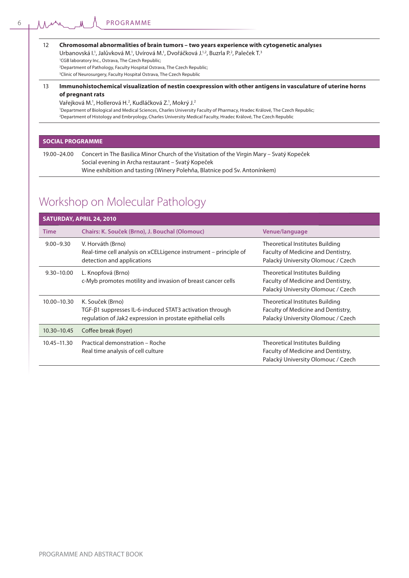|  | 12 Chromosomal abnormalities of brain tumors - two years experience with cytogenetic analyses |  |  |  |
|--|-----------------------------------------------------------------------------------------------|--|--|--|
|  |                                                                                               |  |  |  |

Urbanovská I.<sup>1</sup>, Jalůvková M.<sup>1</sup>, Uvírová M.<sup>1</sup>, Dvořáčková J.<sup>1,2</sup>, Buzrla P.<sup>2</sup>, Paleček T.<sup>3</sup>

1 CGB laboratory Inc., Ostrava, The Czech Republic; 2 Department of Pathology, Faculty Hospital Ostrava, The Czech Republic;

3 Clinic of Neurosurgery, Faculty Hospital Ostrava, The Czech Republic

#### 13 **Immunohistochemical visualization of nestin coexpression with other antigens in vasculature of uterine horns of pregnant rats**

Vařejková M.<sup>1</sup>, Hollerová H.<sup>2</sup>, Kudláčková Z.<sup>1</sup>, Mokrý J.<sup>2</sup>

1 Department of Biological and Medical Sciences, Charles University Faculty of Pharmacy, Hradec Králové, The Czech Republic; 2 Department of Histology and Embryology, Charles University Medical Faculty, Hradec Králové, The Czech Republic

#### **SOCIAL PROGRAMME**

19.00–24.00 Concert in The Basilica Minor Church of the Visitation of the Virgin Mary – Svatý Kopeček Social evening in Archa restaurant – Svatý Kopeček Wine exhibition and tasting (Winery Polehňa, Blatnice pod Sv. Antonínkem)

# Workshop on Molecular Pathology

|                 | SATURDAY, APRIL 24, 2010                                                                                                                  |                                                                                                                    |
|-----------------|-------------------------------------------------------------------------------------------------------------------------------------------|--------------------------------------------------------------------------------------------------------------------|
| <b>Time</b>     | Chairs: K. Souček (Brno), J. Bouchal (Olomouc)                                                                                            | Venue/language                                                                                                     |
| $9.00 - 9.30$   | V. Horváth (Brno)<br>Real-time cell analysis on xCELLigence instrument – principle of<br>detection and applications                       | <b>Theoretical Institutes Building</b><br>Faculty of Medicine and Dentistry,<br>Palacký University Olomouc / Czech |
| $9.30 - 10.00$  | L. Knopfová (Brno)<br>c-Myb promotes motility and invasion of breast cancer cells                                                         | Theoretical Institutes Building<br>Faculty of Medicine and Dentistry,<br>Palacký University Olomouc / Czech        |
| 10.00-10.30     | K. Souček (Brno)<br>TGF-β1 suppresses IL-6-induced STAT3 activation through<br>regulation of Jak2 expression in prostate epithelial cells | Theoretical Institutes Building<br>Faculty of Medicine and Dentistry,<br>Palacký University Olomouc / Czech        |
| $10.30 - 10.45$ | Coffee break (foyer)                                                                                                                      |                                                                                                                    |
| 10.45-11.30     | Practical demonstration - Roche<br>Real time analysis of cell culture                                                                     | Theoretical Institutes Building<br>Faculty of Medicine and Dentistry,<br>Palacký University Olomouc / Czech        |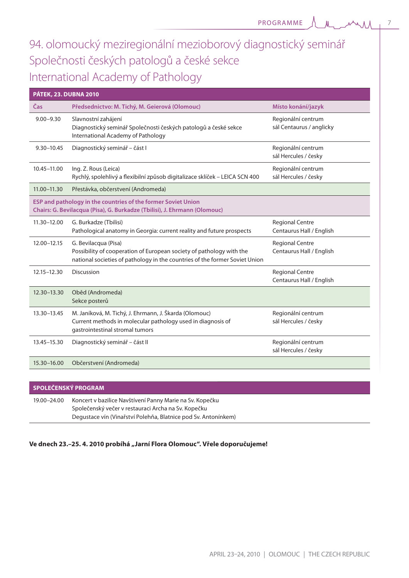$\Lambda$ 7

# 94. olomoucký meziregionální mezioborový diagnostický seminář Společnosti českých patologů a české sekce International Academy of Pathology

| <b>PÁTEK, 23. DUBNA 2010</b> |                                                                                                                                                                             |                                                    |
|------------------------------|-----------------------------------------------------------------------------------------------------------------------------------------------------------------------------|----------------------------------------------------|
| Čas                          | Předsednictvo: M. Tichý, M. Geierová (Olomouc)                                                                                                                              | Místo konání/jazyk                                 |
| $9.00 - 9.30$                | Slavnostní zahájení<br>Diagnostický seminář Společnosti českých patologů a české sekce<br>International Academy of Pathology                                                | Regionální centrum<br>sál Centaurus / anglicky     |
| $9.30 - 10.45$               | Diagnostický seminář – část l                                                                                                                                               | Regionální centrum<br>sál Hercules / česky         |
| 10.45-11.00                  | Ing. Z. Rous (Leica)<br>Rychlý, spolehlivý a flexibilní způsob digitalizace sklíček – LEICA SCN 400                                                                         | Regionální centrum<br>sál Hercules / česky         |
| 11.00-11.30                  | Přestávka, občerstvení (Andromeda)                                                                                                                                          |                                                    |
|                              | ESP and pathology in the countries of the former Soviet Union<br>Chairs: G. Bevilacqua (Pisa), G. Burkadze (Tbilisi), J. Ehrmann (Olomouc)                                  |                                                    |
| 11.30-12.00                  | G. Burkadze (Tbilisi)<br>Pathological anatomy in Georgia: current reality and future prospects                                                                              | <b>Regional Centre</b><br>Centaurus Hall / English |
| 12.00-12.15                  | G. Bevilacqua (Pisa)<br>Possibility of cooperation of European society of pathology with the<br>national societies of pathology in the countries of the former Soviet Union | <b>Regional Centre</b><br>Centaurus Hall / English |
| $12.15 - 12.30$              | Discussion                                                                                                                                                                  | <b>Regional Centre</b><br>Centaurus Hall / English |
| 12.30-13.30                  | Oběd (Andromeda)<br>Sekce posterů                                                                                                                                           |                                                    |
| 13.30-13.45                  | M. Janíková, M. Tichý, J. Ehrmann, J. Škarda (Olomouc)<br>Current methods in molecular pathology used in diagnosis of<br>gastrointestinal stromal tumors                    | Regionální centrum<br>sál Hercules / česky         |
| 13.45-15.30                  | Diagnostický seminář – část II                                                                                                                                              | Regionální centrum<br>sál Hercules / česky         |
| 15.30-16.00                  | Občerstvení (Andromeda)                                                                                                                                                     |                                                    |
|                              |                                                                                                                                                                             |                                                    |

| SPOLEČENSKÝ PROGRAM                                 |                                                                |  |  |  |  |
|-----------------------------------------------------|----------------------------------------------------------------|--|--|--|--|
| 19.00–24.00                                         | Koncert v bazilice Navštívení Panny Marie na Sv. Kopečku       |  |  |  |  |
| Společenský večer v restauraci Archa na Sv. Kopečku |                                                                |  |  |  |  |
|                                                     | Degustace vín (Vinařství Polehňa, Blatnice pod Sv. Antonínkem) |  |  |  |  |

## **Ve dnech 23.–25. 4. 2010 probíhá "Jarní Flora Olomouc". Vřele doporučujeme!**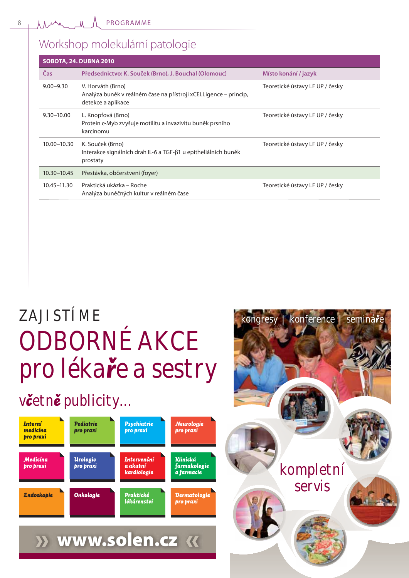# Workshop molekulární patologie

|                 | <b>SOBOTA, 24. DUBNA 2010</b>                                                                               |                                 |
|-----------------|-------------------------------------------------------------------------------------------------------------|---------------------------------|
| Čas             | Předsednictvo: K. Souček (Brno), J. Bouchal (Olomouc)                                                       | Místo konání / jazyk            |
| $9.00 - 9.30$   | V. Horváth (Brno)<br>Analýza buněk v reálném čase na přístroji xCELLigence – princip,<br>detekce a aplikace | Teoretické ústavy LF UP / česky |
| $9.30 - 10.00$  | L. Knopfová (Brno)<br>Protein c-Myb zvyšuje motilitu a invazivitu buněk prsního<br>karcinomu                | Teoretické ústavy LF UP / česky |
| 10.00-10.30     | K. Souček (Brno)<br>Interakce signálních drah IL-6 a TGF-ß1 u epitheliálních buněk<br>prostaty              | Teoretické ústavy LF UP / česky |
| $10.30 - 10.45$ | Přestávka, občerstvení (foyer)                                                                              |                                 |
| 10.45-11.30     | Praktická ukázka – Roche<br>Analýza buněčných kultur v reálném čase                                         | Teoretické ústavy LF UP / česky |
|                 |                                                                                                             |                                 |

# *ZAJISTÍME kongresy | konference | semináā<sup>e</sup> ODBORNÉ AKCE pro lékaāe a sestry*

# *vËetnÔ publicity…*



PROGRAMME AND ABSTRACT BOOK



 $\lambda$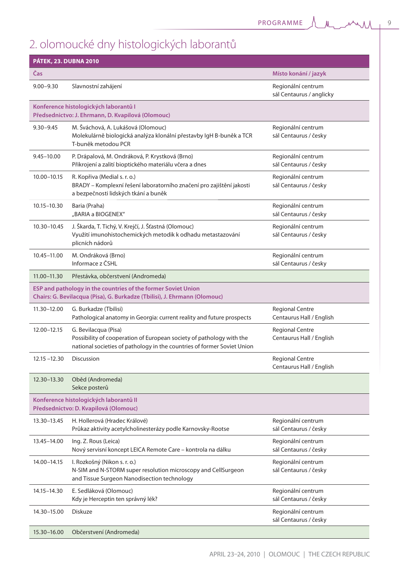# 2. olomoucké dny histologických laborantů

| <b>PÁTEK, 23. DUBNA 2010</b> |                                                                                                                                                                         |                                                    |
|------------------------------|-------------------------------------------------------------------------------------------------------------------------------------------------------------------------|----------------------------------------------------|
| <b>Cas</b>                   |                                                                                                                                                                         | Místo konání / jazyk                               |
| $9.00 - 9.30$                | Slavnostní zahájení                                                                                                                                                     | Regionální centrum<br>sál Centaurus / anglicky     |
|                              | Konference histologických laborantů l<br>Předsednictvo: J. Ehrmann, D. Kvapilová (Olomouc)                                                                              |                                                    |
| $9.30 - 9.45$                | M. Šváchová, A. Lukášová (Olomouc)<br>Molekulárně biologická analýza klonální přestavby IgH B-buněk a TCR<br>T-buněk metodou PCR                                        | Regionální centrum<br>sál Centaurus / česky        |
| $9.45 - 10.00$               | P. Drápalová, M. Ondráková, P. Krystková (Brno)<br>Přikrojení a zalití bioptického materiálu včera a dnes                                                               | Regionální centrum<br>sál Centaurus / česky        |
| 10.00-10.15                  | R. Kopřiva (Medial s. r. o.)<br>BRADY – Komplexní řešení laboratorního značení pro zajištění jakosti<br>a bezpečnosti lidských tkání a buněk                            | Regionální centrum<br>sál Centaurus / česky        |
| $10.15 - 10.30$              | Baria (Praha)<br>"BARIA a BIOGENEX"                                                                                                                                     | Regionální centrum<br>sál Centaurus / česky        |
| 10.30-10.45                  | J. Škarda, T. Tichý, V. Krejčí, J. Šťastná (Olomouc)<br>Využití imunohistochemických metodik k odhadu metastazování<br>plicních nádorů                                  | Regionální centrum<br>sál Centaurus / česky        |
| 10.45-11.00                  | M. Ondráková (Brno)<br>Informace z ČSHL                                                                                                                                 | Regionální centrum<br>sál Centaurus / česky        |
| 11.00-11.30                  | Přestávka, občerstvení (Andromeda)                                                                                                                                      |                                                    |
|                              | ESP and pathology in the countries of the former Soviet Union<br>Chairs: G. Bevilacqua (Pisa), G. Burkadze (Tbilisi), J. Ehrmann (Olomouc)                              |                                                    |
| 11.30-12.00                  | G. Burkadze (Tbilisi)<br>Pathological anatomy in Georgia: current reality and future prospects                                                                          | <b>Regional Centre</b><br>Centaurus Hall / English |
| 12.00-12.15                  | G. Bevilacqua (Pisa)<br>Possibility of cooperation of European society of pathology with the<br>national societies of pathology in the countries of former Soviet Union | <b>Regional Centre</b><br>Centaurus Hall / English |
| $12.15 - 12.30$              | Discussion                                                                                                                                                              | <b>Regional Centre</b><br>Centaurus Hall / English |
| 12.30-13.30                  | Oběd (Andromeda)<br>Sekce posterů                                                                                                                                       |                                                    |
|                              | Konference histologických laborantů II<br>Předsednictvo: D. Kvapilová (Olomouc)                                                                                         |                                                    |
| 13.30-13.45                  | H. Hollerová (Hradec Králové)<br>Průkaz aktivity acetylcholinesterázy podle Karnovsky-Rootse                                                                            | Regionální centrum<br>sál Centaurus / česky        |
| 13.45-14.00                  | Ing. Z. Rous (Leica)<br>Nový servisní koncept LEICA Remote Care - kontrola na dálku                                                                                     | Regionální centrum<br>sál Centaurus / česky        |
| 14.00-14.15                  | I. Rozkošný (Nikon s. r. o.)<br>N-SIM and N-STORM super resolution microscopy and CellSurgeon<br>and Tissue Surgeon Nanodisection technology                            | Regionální centrum<br>sál Centaurus / česky        |
| 14.15 - 14.30                | E. Sedláková (Olomouc)<br>Kdy je Herceptin ten správný lék?                                                                                                             | Regionální centrum<br>sál Centaurus / česky        |
| 14.30-15.00                  | <b>Diskuze</b>                                                                                                                                                          | Regionální centrum<br>sál Centaurus / česky        |
| 15.30-16.00                  | Občerstvení (Andromeda)                                                                                                                                                 |                                                    |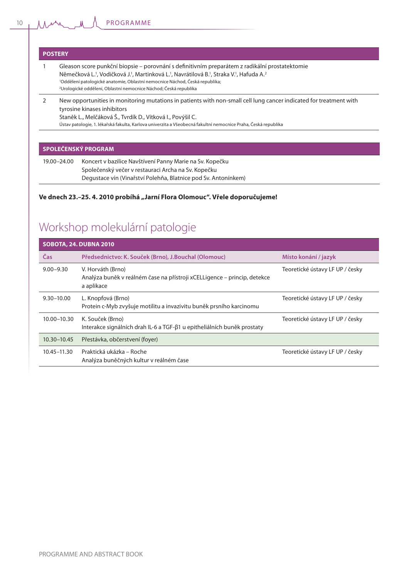#### **POSTERY**

- 1 Gleason score punkční biopsie porovnání s definitivním preparátem z radikální prostatektomie Němečková L.<sup>1</sup>, Vodičková J.<sup>1</sup>, Martinková L.<sup>1</sup>, Navrátilová B.<sup>1</sup>, Straka V.<sup>1</sup>, Hafuda A.<sup>2</sup> 1 Oddělení patologické anatomie, Oblastní nemocnice Náchod, Česká republika; 2 Urologické oddělení, Oblastní nemocnice Náchod; Česká republika
- 2 New opportunities in monitoring mutations in patients with non-small cell lung cancer indicated for treatment with tyrosine kinases inhibitors

Staněk L., Melčáková Š., Tvrdík D., Vítková I., Povýšil C.

Ústav patologie, 1. lékařská fakulta, Karlova univerzita a Všeobecná fakultní nemocnice Praha, Česká republika

#### **SPOLEČENSKÝ PROGRAM**

19.00–24.00 Koncert v bazilice Navštívení Panny Marie na Sv. Kopečku Společenský večer v restauraci Archa na Sv. Kopečku Degustace vín (Vinařství Polehňa, Blatnice pod Sv. Antonínkem)

#### **Ve dnech 23.–25. 4. 2010 probíhá "Jarní Flora Olomouc". Vřele doporučujeme!**

# Workshop molekulární patologie

|                 | <b>SOBOTA, 24. DUBNA 2010</b>                                                                               |                                 |
|-----------------|-------------------------------------------------------------------------------------------------------------|---------------------------------|
| Čas             | Předsednictvo: K. Souček (Brno), J. Bouchal (Olomouc)                                                       | Místo konání / jazyk            |
| $9.00 - 9.30$   | V. Horváth (Brno)<br>Analýza buněk v reálném čase na přístroji xCELLigence – princip, detekce<br>a aplikace | Teoretické ústavy LF UP / česky |
| $9.30 - 10.00$  | L. Knopfová (Brno)<br>Protein c-Myb zvyšuje motilitu a invazivitu buněk prsního karcinomu                   | Teoretické ústavy LF UP / česky |
| $10.00 - 10.30$ | K. Souček (Brno)<br>Interakce signálních drah IL-6 a TGF-ß1 u epitheliálních buněk prostaty                 | Teoretické ústavy LF UP / česky |
| $10.30 - 10.45$ | Přestávka, občerstvení (foyer)                                                                              |                                 |
| $10.45 - 11.30$ | Praktická ukázka – Roche<br>Analýza buněčných kultur v reálném čase                                         | Teoretické ústavy LF UP / česky |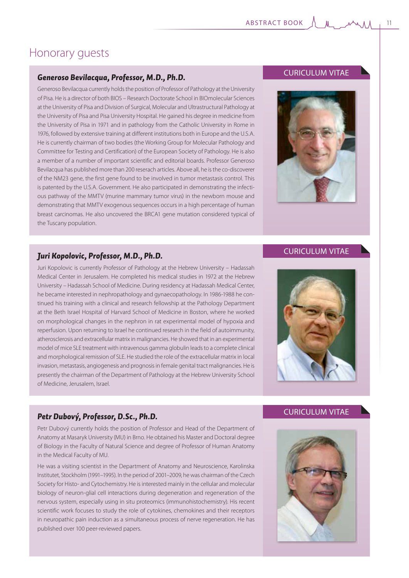# Honorary guests

## *Generoso Bevilacqua, Professor, M.D., Ph.D.*

Generoso Bevilacqua currently holds the position of Professor of Pathology at the University of Pisa. He is a director of both BIOS – Research Doctorate School in BIOmolecular Sciences at the University of Pisa and Division of Surgical, Molecular and Ultrastructural Pathology at the University of Pisa and Pisa University Hospital. He gained his degree in medicine from the University of Pisa in 1971 and in pathology from the Catholic University in Rome in 1976, followed by extensive training at different institutions both in Europe and the U.S.A. He is currently chairman of two bodies (the Working Group for Molecular Pathology and Committee for Testing and Certification) of the European Society of Pathology. He is also a member of a number of important scientific and editorial boards. Professor Generoso Bevilacqua has published more than 200 reserach articles. Above all, he is the co-discoverer of the NM23 gene, the first gene found to be involved in tumor metastasis control. This is patented by the U.S.A. Government. He also participated in demonstrating the infectious pathway of the MMTV (murine mammary tumor virus) in the newborn mouse and demonstrating that MMTV exogenous sequences occurs in a high percentage of human breast carcinomas. He also uncovered the BRCA1 gene mutation considered typical of the Tuscany population.

## *Juri Kopolovic, Professor, M.D., Ph.D.*

Juri Kopolovic is currently Professor of Pathology at the Hebrew University – Hadassah Medical Center in Jerusalem. He completed his medical studies in 1972 at the Hebrew University – Hadassah School of Medicine. During residency at Hadassah Medical Center, he became interested in nephropathology and gynaecopathology. In 1986-1988 he continued his training with a clinical and research fellowship at the Pathology Department at the Beth Israel Hospital of Harvard School of Medicine in Boston, where he worked on morphological changes in the nephron in rat experimental model of hypoxia and reperfusion. Upon returning to Israel he continued research in the field of autoimmunity, atherosclerosis and extracellular matrix in malignancies. He showed that in an experimental model of mice SLE treatment with intravenous gamma globulin leads to a complete clinical and morphological remission of SLE. He studied the role of the extracellular matrix in local invasion, metastasis, angiogenesis and prognosis in female genital tract malignancies. He is presently the chairman of the Department of Pathology at the Hebrew University School of Medicine, Jerusalem, Israel.

## CURICULUM VITAE



## CURICULUM VITAE



## *Petr Dubový, Professor, D.Sc., Ph.D.*

Petr Dubový currently holds the position of Professor and Head of the Department of Anatomy at Masaryk University (MU) in Brno. He obtained his Master and Doctoral degree of Biology in the Faculty of Natural Science and degree of Professor of Human Anatomy in the Medical Faculty of MU.

He was a visiting scientist in the Department of Anatomy and Neuroscience, Karolinska Institutet, Stockholm (1991–1995). In the period of 2001–2009, he was chairman of the Czech Society for Histo- and Cytochemistry. He is interested mainly in the cellular and molecular biology of neuron-glial cell interactions during degeneration and regeneration of the nervous system, especially using in situ proteomics (immunohistochemistry). His recent scientific work focuses to study the role of cytokines, chemokines and their receptors in neuropathic pain induction as a simultaneous process of nerve regeneration. He has published over 100 peer-reviewed papers.

# CURICULUM VITAE

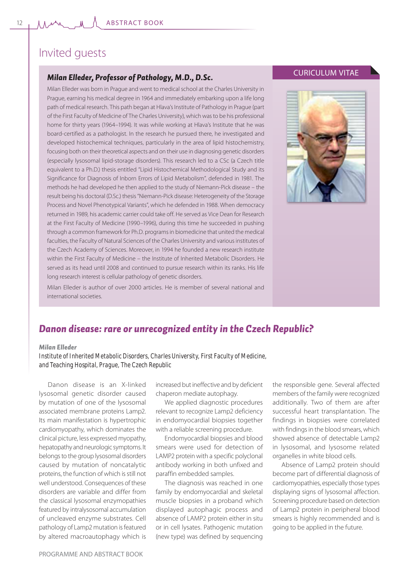# Invited guests

## *Milan Elleder, Professor of Pathology, M.D., D.Sc.*

Milan Elleder was born in Prague and went to medical school at the Charles University in Prague, earning his medical degree in 1964 and immediately embarking upon a life long path of medical research. This path began at Hlava's Institute of Pathology in Prague (part of the First Faculty of Medicine of The Charles University), which was to be his professional home for thirty years (1964–1994). It was while working at Hlava's Institute that he was board-certified as a pathologist. In the research he pursued there, he investigated and developed histochemical techniques, particularly in the area of lipid histochemistry, focusing both on their theoretical aspects and on their use in diagnosing genetic disorders (especially lysosomal lipid-storage disorders). This research led to a CSc (a Czech title equivalent to a Ph.D.) thesis entitled "Lipid Histochemical Methodological Study and its Significance for Diagnosis of Inborn Errors of Lipid Metabolism", defended in 1981. The methods he had developed he then applied to the study of Niemann-Pick disease – the result being his doctoral (D.Sc.) thesis "Niemann-Pick disease: Heterogeneity of the Storage Process and Novel Phenotypical Variants", which he defended in 1988. When democracy returned in 1989, his academic carrier could take off. He served as Vice Dean for Research at the First Faculty of Medicine (1990–1996), during this time he succeeded in pushing through a common framework for Ph.D. programs in biomedicine that united the medical faculties, the Faculty of Natural Sciences of the Charles University and various institutes of the Czech Academy of Sciences. Moreover, in 1994 he founded a new research institute within the First Faculty of Medicine – the Institute of Inherited Metabolic Disorders. He served as its head until 2008 and continued to pursue research within its ranks. His life long research interest is cellular pathology of genetic disorders.

## CURICULUM VITAE



Milan Elleder is author of over 2000 articles. He is member of several national and international societies.

## *Danon disease: rare or unrecognized entity in the Czech Republic?*

#### *Milan Elleder*

*Institute of Inherited Metabolic Disorders, Charles University, First Faculty of Medicine, and Teaching Hospital, Prague, The Czech Republic*

Danon disease is an X-linked lysosomal genetic disorder caused by mutation of one of the lysosomal associated membrane proteins Lamp2. Its main manifestation is hypertrophic cardiomyopathy, which dominates the clinical picture, less expressed myopathy, hepatopathy and neurologic symptoms. It belongs to the group lysosomal disorders caused by mutation of noncatalytic proteins, the function of which is still not well understood. Consequences of these disorders are variable and differ from the classical lysosomal enzymopathies featured by intralysosomal accumulation of uncleaved enzyme substrates. Cell pathology of Lamp2 mutation is featured by altered macroautophagy which is

increased but ineffective and by deficient chaperon mediate autophagy.

We applied diagnostic procedures relevant to recognize Lamp2 deficiency in endomyocardial biopsies together with a reliable screening procedure.

Endomyocardial biopsies and blood smears were used for detection of LAMP2 protein with a specific polyclonal antibody working in both unfixed and paraffin embedded samples.

The diagnosis was reached in one family by endomyocardial and skeletal muscle biopsies in a proband which displayed autophagic process and absence of LAMP2 protein either in situ or in cell lysates. Pathogenic mutation (new type) was defined by sequencing

the responsible gene. Several affected members of the family were recognized additionally. Two of them are after successful heart transplantation. The findings in biopsies were correlated with findings in the blood smears, which showed absence of detectable Lamp2 in lysosomal, and lysosome related organelles in white blood cells.

Absence of Lamp2 protein should become part of differential diagnosis of cardiomyopathies, especially those types displaying signs of lysosomal affection. Screening procedure based on detection of Lamp2 protein in peripheral blood smears is highly recommended and is going to be applied in the future.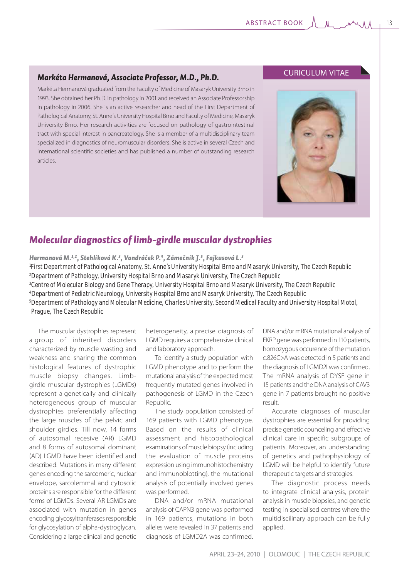## *Markéta Hermanová, Associate Professor, M.D., Ph.D.*

Markéta Hermanová graduated from the Faculty of Medicine of Masaryk University Brno in 1993. She obtained her Ph.D. in pathology in 2001 and received an Associate Professorship in pathology in 2006. She is an active researcher and head of the First Department of Pathological Anatomy, St. Anne´s University Hospital Brno and Faculty of Medicine, Masaryk University Brno. Her research activities are focused on pathology of gastrointestinal tract with special interest in pancreatology. She is a member of a multidisciplinary team specialized in diagnostics of neuromuscular disorders. She is active in several Czech and international scientific societies and has published a number of outstanding research articles.

## CURICULUM VITAE



# *Molecular diagnostics of limb-girdle muscular dystrophies*

*Hermanová M.1,2, Stehlíková K.3 , Vondráček P.4, Zámečník J.5 , Fajkusová L.3*

 *First Department of Pathological Anatomy, St. Anne´s University Hospital Brno and Masaryk University, The Czech Republic Department of Pathology, University Hospital Brno and Masaryk University, The Czech Republic Centre of Molecular Biology and Gene Therapy, University Hospital Brno and Masaryk University, The Czech Republic Department of Pediatric Neurology, University Hospital Brno and Masaryk University, The Czech Republic 5 Department of Pathology and Molecular Medicine, Charles University, Second Medical Faculty and University Hospital Motol, Prague, The Czech Republic*

The muscular dystrophies represent a group of inherited disorders characterized by muscle wasting and weakness and sharing the common histological features of dystrophic muscle biopsy changes. Limbgirdle muscular dystrophies (LGMDs) represent a genetically and clinically heterogeneous group of muscular dystrophies preferentially affecting the large muscles of the pelvic and shoulder girdles. Till now, 14 forms of autosomal recesive (AR) LGMD and 8 forms of autosomal dominant (AD) LGMD have been identified and described. Mutations in many different genes encoding the sarcomeric, nuclear envelope, sarcolemmal and cytosolic proteins are responsible for the different forms of LGMDs. Several AR LGMDs are associated with mutation in genes encoding glycosyltranferases responsible for glycosylation of alpha-dystroglycan. Considering a large clinical and genetic

heterogeneity, a precise diagnosis of LGMD requires a comprehensive clinical and laboratory approach.

To identify a study population with LGMD phenotype and to perform the mutational analysis of the expected most frequently mutated genes involved in pathogenesis of LGMD in the Czech Republic.

The study population consisted of 169 patients with LGMD phenotype. Based on the results of clinical assessment and histopathological examinations of muscle biopsy (including the evaluation of muscle proteins expression using immunohistochemistry and immunoblotting), the mutational analysis of potentially involved genes was performed.

DNA and/or mRNA mutational analysis of CAPN3 gene was performed in 169 patients, mutations in both alleles were revealed in 37 patients and diagnosis of LGMD2A was confirmed. DNA and/or mRNA mutational analysis of FKRP gene was performed in 110 patients, homozygous occurence of the mutation c.826C>A was detected in 5 patients and the diagnosis of LGMD2I was confirmed. The mRNA analysis of DYSF gene in 15 patients and the DNA analysis of CAV3 gene in 7 patients brought no positive result.

Accurate diagnoses of muscular dystrophies are essential for providing precise genetic counceling and effective clinical care in specific subgroups of patients. Moreover, an understanding of genetics and pathophysiology of LGMD will be helpful to identify future therapeutic targets and strategies.

The diagnostic process needs to integrate clinical analysis, protein analysis in muscle biopsies, and genetic testing in specialised centres where the multidiscilinary approach can be fully applied.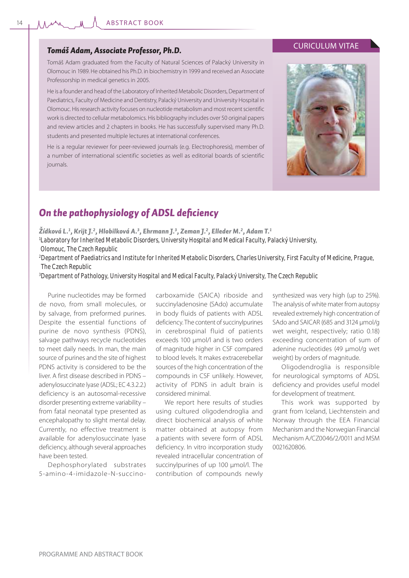### *Tomáš Adam, Associate Professor, Ph.D.*

Tomáš Adam graduated from the Faculty of Natural Sciences of Palacký University in Olomouc in 1989. He obtained his Ph.D. in biochemistry in 1999 and received an Associate Professorship in medical genetics in 2005.

He is a founder and head of the Laboratory of Inherited Metabolic Disorders, Department of Paediatrics, Faculty of Medicine and Dentistry, Palacký University and University Hospital in Olomouc. His research activity focuses on nucleotide metabolism and most recent scientific work is directed to cellular metabolomics. His bibliography includes over 50 original papers and review articles and 2 chapters in books. He has successfully supervised many Ph.D. students and presented multiple lectures at international conferences.

He is a regular reviewer for peer-reviewed journals (e.g. Electrophoresis), member of a number of international scientific societies as well as editorial boards of scientific journals.

## CURICULUM VITAE



# **On the pathophysiology of ADSL deficiency**

*Žídková L.1 , Krijt J.2 , Hlobilková A.3 , Ehrmann J.3 , Zeman J.2 , Elleder M.2 , Adam T.1*

*1 Laboratory for Inherited Metabolic Disorders, University Hospital and Medical Faculty, Palacký University, Olomouc, The Czech Republic*

*2 Department of Paediatrics and Institute for Inherited Metabolic Disorders, Charles University, First Faculty of Medicine, Prague, The Czech Republic*

*3 Department of Pathology, University Hospital and Medical Faculty, Palacký University, The Czech Republic*

Purine nucleotides may be formed de novo, from small molecules, or by salvage, from preformed purines. Despite the essential functions of purine de novo synthesis (PDNS), salvage pathways recycle nucleotides to meet daily needs. In man, the main source of purines and the site of highest PDNS activity is considered to be the liver. A first disease described in PDNS – adenylosuccinate lyase (ADSL; EC 4.3.2.2.) deficiency is an autosomal-recessive disorder presenting extreme variability – from fatal neonatal type presented as encephalopathy to slight mental delay. Currently, no effective treatment is available for adenylosuccinate lyase deficiency, although several approaches have been tested.

Dephosphorylated substrates 5-amino-4-imidazole-N-succinocarboxamide (SAICA) riboside and succinyladenosine (SAdo) accumulate in body fluids of patients with ADSL deficiency. The content of succinylpurines in cerebrospinal fluid of patients exceeds 100 μmol/l and is two orders of magnitude higher in CSF compared to blood levels. It makes extracerebellar sources of the high concentration of the compounds in CSF unlikely. However, activity of PDNS in adult brain is considered minimal.

We report here results of studies using cultured oligodendroglia and direct biochemical analysis of white matter obtained at autopsy from a patients with severe form of ADSL deficiency. In vitro incorporation study revealed intracellular concentration of succinylpurines of up 100 μmol/l. The contribution of compounds newly

synthesized was very high (up to 25%). The analysis of white mater from autopsy revealed extremely high concentration of SAdo and SAICAR (685 and 3124 μmol/g wet weight, respectively; ratio 0.18) exceeding concentration of sum of adenine nucleotides (49 μmol/g wet weight) by orders of magnitude.

Oligodendroglia is responsible for neurological symptoms of ADSL deficiency and provides useful model for development of treatment.

This work was supported by grant from Iceland, Liechtenstein and Norway through the EEA Financial Mechanism and the Norwegian Financial Mechanism A/CZ0046/2/0011 and MSM 0021620806.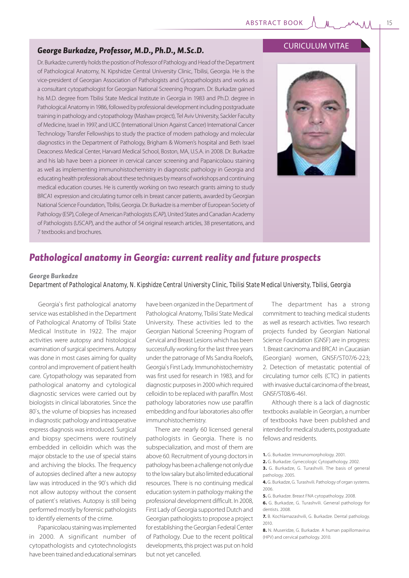### *George Burkadze, Professor, M.D., Ph.D., M.Sc.D.*

Dr. Burkadze currently holds the position of Professor of Pathology and Head of the Department of Pathological Anatomy, N. Kipshidze Central University Clinic, Tbilisi, Georgia. He is the vice-president of Georgian Association of Pathologists and Cytopathologists and works as a consultant cytopathologist for Georgian National Screening Program. Dr. Burkadze gained his M.D. degree from Tbilisi State Medical Institute in Georgia in 1983 and Ph.D. degree in Pathological Anatomy in 1986, followed by professional development including postgraduate training in pathology and cytopathology (Mashaw project), Tel Aviv University, Sackler Faculty of Medicine, Israel in 1997, and UICC (International Union Against Cancer) International Cancer Technology Transfer Fellowships to study the practice of modern pathology and molecular diagnostics in the Department of Pathology, Brigham & Women's hospital and Beth Israel Deaconess Medical Center, Harvard Medical School, Boston, MA, U.S.A. in 2008. Dr. Burkadze and his lab have been a pioneer in cervical cancer screening and Papanicolaou staining as well as implementing immunohistochemistry in diagnostic pathology in Georgia and educating health professionals about these techniques by means of workshops and continuing medical education courses. He is currently working on two research grants aiming to study BRCA1 expression and circulating tumor cells in breast cancer patients, awarded by Georgian National Science Foundation, Tbilisi, Georgia. Dr. Burkadze is a member of European Society of Pathology (ESP), College of American Pathologists (CAP), United States and Canadian Academy of Pathologists (USCAP), and the author of 54 original research articles, 38 presentations, and 7 textbooks and brochures.

### CURICULUM VITAE



# *Pathological anatomy in Georgia: current reality and future prospects*

#### *George Burkadze*

*Department of Pathological Anatomy, N. Kipshidze Central University Clinic, Tbilisi State Medical University, Tbilisi, Georgia*

Georgia`s first pathological anatomy service was established in the Department of Pathological Anatomy of Tbilisi State Medical Institute in 1922. The major activities were autopsy and histological examination of surgical specimens. Autopsy was done in most cases aiming for quality control and improvement of patient health care. Cytopathology was separated from pathological anatomy and cytological diagnostic services were carried out by biologists in clinical laboratories. Since the 80`s, the volume of biopsies has increased in diagnostic pathology and intraoperative express diagnosis was introduced. Surgical and biopsy specimens were routinely embedded in celloidin which was the major obstacle to the use of special stains and archiving the blocks. The frequency of autopsies declined after a new autopsy law was introduced in the 90`s which did not allow autopsy without the consent of patient`s relatives. Autopsy is still being performed mostly by forensic pathologists to identify elements of the crime.

Papanicolaou staining was implemented in 2000. A significant number of cytopathologists and cytotechnologists have been trained and educational seminars

have been organized in the Department of Pathological Anatomy, Tbilisi State Medical University. These activities led to the Georgian National Screening Program of Cervical and Breast Lesions which has been successfully working for the last three years under the patronage of Ms Sandra Roelofs, Georgia`s First Lady. Immunohistochemistry was first used for research in 1983, and for diagnostic purposes in 2000 which required celloidin to be replaced with paraffin. Most pathology laboratories now use paraffin embedding and four laboratories also offer immunohistochemistry.

There are nearly 60 licensed general pathologists in Georgia. There is no subspecialization, and most of them are above 60. Recruitment of young doctors in pathology has been a challenge not only due to the low salary but also limited educational resources. There is no continuing medical education system in pathology making the professional development difficult. In 2008, First Lady of Georgia supported Dutch and Georgian pathologists to propose a project for establishing the Georgian Federal Center of Pathology. Due to the recent political developments, this project was put on hold but not yet cancelled.

The department has a strong commitment to teaching medical students as well as research activities. Two research projects funded by Georgian National Science Foundation (GNSF) are in progress: 1. Breast carcinoma and BRCA1 in Caucasian (Georgian) women, GNSF/ST07/6-223; 2. Detection of metastatic potential of circulating tumor cells (CTC) in patients with invasive ductal carcinoma of the breast, GNSF/ST08/6-461.

Although there is a lack of diagnostic textbooks available in Georgian, a number of textbooks have been published and intended for medical students, postgraduate fellows and residents.

**1.** G. Burkadze. Immunomorphology. 2001.

**<sup>2.</sup>** G. Burkadze. Gynecologic Cytopathology. 2002.

**<sup>3.</sup>** G. Burkadze, G. Turashvili. The basis of general pathology. 2005.

**<sup>4.</sup>** G. Burkadze, G. Turashvili. Pathology of organ systems. 2006.

**<sup>5.</sup>** G. Burkadze. Breast FNA cytopathology. 2008.

**<sup>6.</sup>** G. Burkadze, G. Turashvili. General pathology for dentists. 2008.

**<sup>7.</sup>** B. Kochlamazashvili, G. Burkadze. Dental pathology. 2010.

**<sup>8.</sup>** N. Museridze, G. Burkadze. A human papillomavirus (HPV) and cervical pathology. 2010.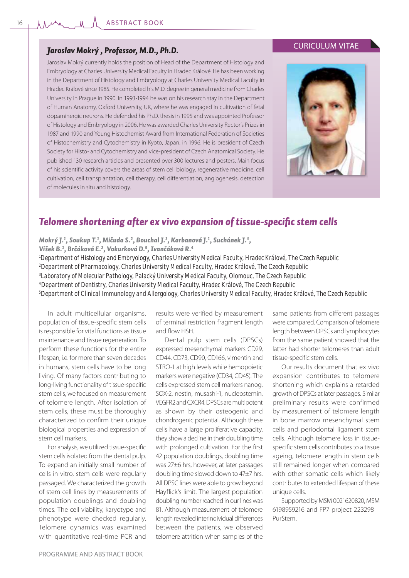16

### *Jaroslav Mokrý , Professor, M.D., Ph.D.*

Jaroslav Mokrý currently holds the position of Head of the Department of Histology and Embryology at Charles University Medical Faculty in Hradec Králové. He has been working in the Department of Histology and Embryology at Charles University Medical Faculty in Hradec Králové since 1985. He completed his M.D. degree in general medicine from Charles University in Prague in 1990. In 1993-1994 he was on his research stay in the Department of Human Anatomy, Oxford University, UK, where he was engaged in cultivation of fetal dopaminergic neurons. He defended his Ph.D. thesis in 1995 and was appointed Professor of Histology and Embryology in 2006. He was awarded Charles University Rector's Prizes in 1987 and 1990 and Young Histochemist Award from International Federation of Societies of Histochemistry and Cytochemistry in Kyoto, Japan, in 1996. He is president of Czech Society for Histo- and Cytochemistry and vice-president of Czech Anatomical Society. He published 130 research articles and presented over 300 lectures and posters. Main focus of his scientific activity covers the areas of stem cell biology, regenerative medicine, cell cultivation, cell transplantation, cell therapy, cell differentiation, angiogenesis, detection of molecules in situ and histology.





## **Telomere shortening after ex vivo expansion of tissue-specific stem cells**

*Mokrý J.1 , Soukup T.1 , Mičuda S.2 , Bouchal J.3 , Karbanová J.1 , Suchánek J.4,* 

*Víšek B.1 , Brčáková E.2 , Vokurková D.5 , Ivančáková R.4*

*1 Department of Histology and Embryology, Charles University Medical Faculty, Hradec Králové, The Czech Republic 2 Department of Pharmacology, Charles University Medical Faculty, Hradec Králové, The Czech Republic*

*3 Laboratory of Molecular Pathology, Palacký University Medical Faculty, Olomouc, The Czech Republic*

*4 Department of Dentistry, Charles University Medical Faculty, Hradec Králové, The Czech Republic*

*5 Department of Clinical Immunology and Allergology, Charles University Medical Faculty, Hradec Králové, The Czech Republic*

In adult multicellular organisms, population of tissue-specific stem cells is responsible for vital functions as tissue maintenance and tissue regeneration. To perform these functions for the entire lifespan, i.e. for more than seven decades in humans, stem cells have to be long living. Of many factors contributing to long-living functionality of tissue-specific stem cells, we focused on measurement of telomere length. After isolation of stem cells, these must be thoroughly characterized to confirm their unique biological properties and expression of stem cell markers.

For analysis, we utilized tissue-specific stem cells isolated from the dental pulp. To expand an initially small number of cells in vitro, stem cells were regularly passaged. We characterized the growth of stem cell lines by measurements of population doublings and doubling times. The cell viability, karyotype and phenotype were checked regularly. Telomere dynamics was examined with quantitative real-time PCR and

results were verified by measurement of terminal restriction fragment length and flow FISH.

Dental pulp stem cells (DPSCs) expressed mesenchymal markers CD29, CD44, CD73, CD90, CD166, vimentin and STRO-1 at high levels while hemopoietic markers were negative (CD34, CD45). The cells expressed stem cell markers nanog, SOX-2, nestin, musashi-1, nucleostemin, VEGFR2 and CXCR4. DPSCs are multipotent as shown by their osteogenic and chondrogenic potential. Although these cells have a large proliferative capacity, they show a decline in their doubling time with prolonged cultivation. For the first 42 population doublings, doubling time was 27±6 hrs, however, at later passages doubling time slowed down to 47±7 hrs. All DPSC lines were able to grow beyond Hayflick's limit. The largest population doubling number reached in our lines was 81. Although measurement of telomere length revealed interindividual differences between the patients, we observed telomere attrition when samples of the

same patients from different passages were compared. Comparison of telomere length between DPSCs and lymphocytes from the same patient showed that the latter had shorter telomeres than adult tissue-specific stem cells.

Our results document that ex vivo expansion contributes to telomere shortening which explains a retarded growth of DPSCs at later passages. Similar preliminary results were confirmed by measurement of telomere length in bone marrow mesenchymal stem cells and periodontal ligament stem cells. Although telomere loss in tissuespecific stem cells contributes to a tissue ageing, telomere length in stem cells still remained longer when compared with other somatic cells which likely contributes to extended lifespan of these unique cells.

Supported by MSM 0021620820, MSM 6198959216 and FP7 project 223298 – PurStem.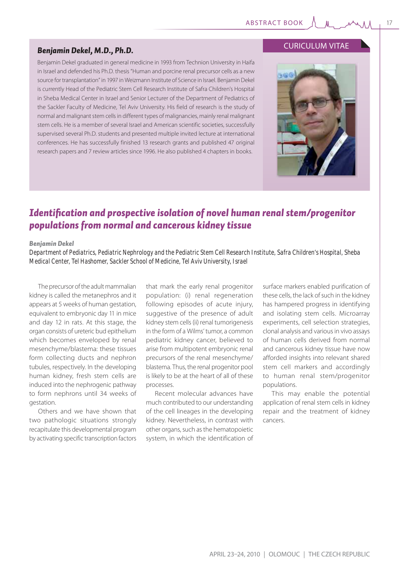## *Benjamin Dekel, M.D., Ph.D.*

Benjamin Dekel graduated in general medicine in 1993 from Technion University in Haifa in Israel and defended his Ph.D. thesis "Human and porcine renal precursor cells as a new source for transplantation" in 1997 in Weizmann Institute of Science in Israel. Benjamin Dekel is currently Head of the Pediatric Stem Cell Research Institute of Safra Children's Hospital in Sheba Medical Center in Israel and Senior Lecturer of the Department of Pediatrics of the Sackler Faculty of Medicine, Tel Aviv University. His field of research is the study of normal and malignant stem cells in different types of malignancies, mainly renal malignant stem cells. He is a member of several Israel and American scientific societies, successfully supervised several Ph.D. students and presented multiple invited lecture at international conferences. He has successfully finished 13 research grants and published 47 original research papers and 7 review articles since 1996. He also published 4 chapters in books.

## CURICULUM VITAE



# *Identifi cation and prospective isolation of novel human renal stem/progenitor populations from normal and cancerous kidney tissue*

#### *Benjamin Dekel*

*Department of Pediatrics, Pediatric Nephrology and the Pediatric Stem Cell Research Institute, Safra Children's Hospital, Sheba Medical Center, Tel Hashomer, Sackler School of Medicine, Tel Aviv University, Israel*

The precursor of the adult mammalian kidney is called the metanephros and it appears at 5 weeks of human gestation, equivalent to embryonic day 11 in mice and day 12 in rats. At this stage, the organ consists of ureteric bud epithelium which becomes enveloped by renal mesenchyme/blastema: these tissues form collecting ducts and nephron tubules, respectively. In the developing human kidney, fresh stem cells are induced into the nephrogenic pathway to form nephrons until 34 weeks of gestation.

Others and we have shown that two pathologic situations strongly recapitulate this developmental program by activating specific transcription factors

that mark the early renal progenitor population: (i) renal regeneration following episodes of acute injury, suggestive of the presence of adult kidney stem cells (ii) renal tumorigenesis in the form of a Wilms' tumor, a common pediatric kidney cancer, believed to arise from multipotent embryonic renal precursors of the renal mesenchyme/ blastema. Thus, the renal progenitor pool is likely to be at the heart of all of these processes.

Recent molecular advances have much contributed to our understanding of the cell lineages in the developing kidney. Nevertheless, in contrast with other organs, such as the hematopoietic system, in which the identification of surface markers enabled purification of these cells, the lack of such in the kidney has hampered progress in identifying and isolating stem cells. Microarray experiments, cell selection strategies, clonal analysis and various in vivo assays of human cells derived from normal and cancerous kidney tissue have now afforded insights into relevant shared stem cell markers and accordingly to human renal stem/progenitor populations.

This may enable the potential application of renal stem cells in kidney repair and the treatment of kidney cancers.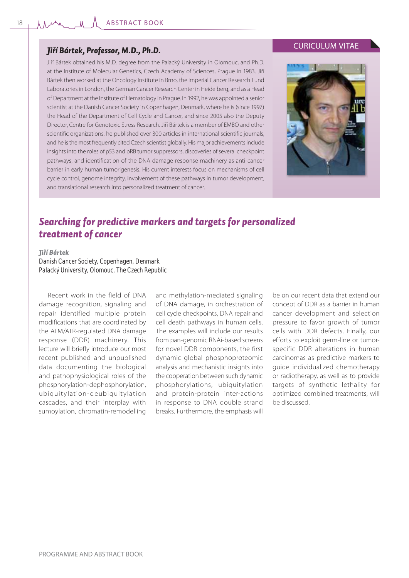## *Jiří Bártek, Professor, M.D., Ph.D.*

Jiří Bártek obtained his M.D. degree from the Palacký University in Olomouc, and Ph.D. at the Institute of Molecular Genetics, Czech Academy of Sciences, Prague in 1983. Jiří Bártek then worked at the Oncology Institute in Brno, the Imperial Cancer Research Fund Laboratories in London, the German Cancer Research Center in Heidelberg, and as a Head of Department at the Institute of Hematology in Prague. In 1992, he was appointed a senior scientist at the Danish Cancer Society in Copenhagen, Denmark, where he is (since 1997) the Head of the Department of Cell Cycle and Cancer, and since 2005 also the Deputy Director, Centre for Genotoxic Stress Research. Jiří Bártek is a member of EMBO and other scientific organizations, he published over 300 articles in international scientific journals, and he is the most frequently cited Czech scientist globally. His major achievements include insights into the roles of p53 and pRB tumor suppressors, discoveries of several checkpoint pathways, and identification of the DNA damage response machinery as anti-cancer barrier in early human tumorigenesis. His current interests focus on mechanisms of cell cycle control, genome integrity, involvement of these pathways in tumor development, and translational research into personalized treatment of cancer.

## CURICULUM VITAE



# *Searching for predictive markers and targets for personalized treatment of cancer*

#### *Jiří Bártek*

*Danish Cancer Society, Copenhagen, Denmark Palacký University, Olomouc, The Czech Republic* 

Recent work in the field of DNA damage recognition, signaling and repair identified multiple protein modifications that are coordinated by the ATM/ATR-regulated DNA damage response (DDR) machinery. This lecture will briefly introduce our most recent published and unpublished data documenting the biological and pathophysiological roles of the phosphorylation-dephosphorylation, ubiquitylation-deubiquitylation cascades, and their interplay with sumoylation, chromatin-remodelling

and methylation-mediated signaling of DNA damage, in orchestration of cell cycle checkpoints, DNA repair and cell death pathways in human cells. The examples will include our results from pan-genomic RNAi-based screens for novel DDR components, the first dynamic global phosphoproteomic analysis and mechanistic insights into the cooperation between such dynamic phosphorylations, ubiquitylation and protein-protein inter-actions in response to DNA double strand breaks. Furthermore, the emphasis will be on our recent data that extend our concept of DDR as a barrier in human cancer development and selection pressure to favor growth of tumor cells with DDR defects. Finally, our efforts to exploit germ-line or tumorspecific DDR alterations in human carcinomas as predictive markers to guide individualized chemotherapy or radiotherapy, as well as to provide targets of synthetic lethality for optimized combined treatments, will be discussed.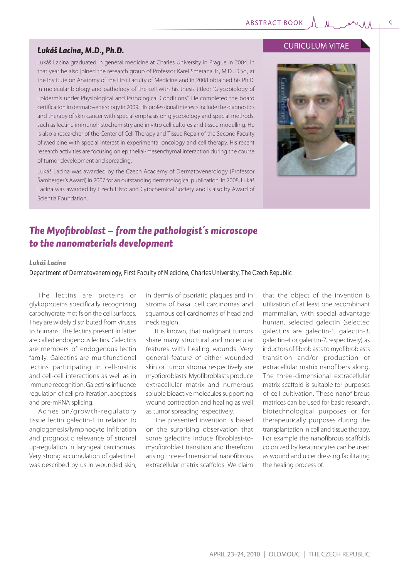### *Lukáš Lacina, M.D., Ph.D.*

Lukáš Lacina graduated in general medicine at Charles University in Prague in 2004. In that year he also joined the research group of Professor Karel Smetana Jr., M.D., D.Sc., at the Institute on Anatomy of the First Faculty of Medicine and in 2008 obtained his Ph.D. in molecular biology and pathology of the cell with his thesis titled: "Glycobiology of Epidermis under Physiological and Pathological Conditions". He completed the board certification in dermatovenerology in 2009. His professional interests include the diagnostics and therapy of skin cancer with special emphasis on glycobiology and special methods, such as lectine immunohistochemistry and in vitro cell cultures and tissue modelling. He is also a researcher of the Center of Cell Therapy and Tissue Repair of the Second Faculty of Medicine with special interest in experimental oncology and cell therapy. His recent research activities are focusing on epithelial-mesenchymal interaction during the course of tumor development and spreading.

Lukáš Lacina was awarded by the Czech Academy of Dermatovenerology (Professor Šamberger´s Award) in 2007 for an outstanding dermatological publication. In 2008, Lukáš Lacina was awarded by Czech Histo and Cytochemical Society and is also by Award of Scientia Foundation.

## CURICULUM VITAE



# The Myofibroblast – from the pathologist's microscope *to the nanomaterials development*

### *Lukáš Lacina*

*Department of Dermatovenerology, First Faculty of Medicine, Charles University, The Czech Republic*

The lectins are proteins or glykoproteins specifically recognizing carbohydrate motifs on the cell surfaces. They are widely distributed from viruses to humans. The lectins present in latter are called endogenous lectins. Galectins are members of endogenous lectin family. Galectins are multifunctional lectins participating in cell-matrix and cell-cell interactions as well as in immune recognition. Galectins influence regulation of cell proliferation, apoptosis and pre-mRNA splicing.

Adhesion/growth-regulatory tissue lectin galectin-1 in relation to angiogenesis/lymphocyte infiltration and prognostic relevance of stromal up-regulation in laryngeal carcinomas. Very strong accumulation of galectin-1 was described by us in wounded skin,

in dermis of psoriatic plaques and in stroma of basal cell carcinomas and squamous cell carcinomas of head and neck region.

It is known, that malignant tumors share many structural and molecular features with healing wounds. Very general feature of either wounded skin or tumor stroma respectively are myofibroblasts. Myofibroblasts produce extracellular matrix and numerous soluble bioactive molecules supporting wound contraction and healing as well as tumor spreading respectively.

The presented invention is based on the surprising observation that some galectins induce fibroblast-tomyofibroblast transition and therefrom arising three-dimensional nanofibrous extracellular matrix scaffolds. We claim

that the object of the invention is utilization of at least one recombinant mammalian, with special advantage human, selected galectin (selected galectins are galectin-1, galectin-3, galectin-4 or galectin-7, respectively) as inductors of fibroblasts to myofibroblasts transition and/or production of extracellular matrix nanofibers along. The three-dimensional extracellular matrix scaffold is suitable for purposes of cell cultivation. These nanofibrous matrices can be used for basic research, biotechnological purposes or for therapeutically purposes during the transplantation in cell and tissue therapy. For example the nanofibrous scaffolds colonized by keratinocytes can be used as wound and ulcer dressing facilitating the healing process of.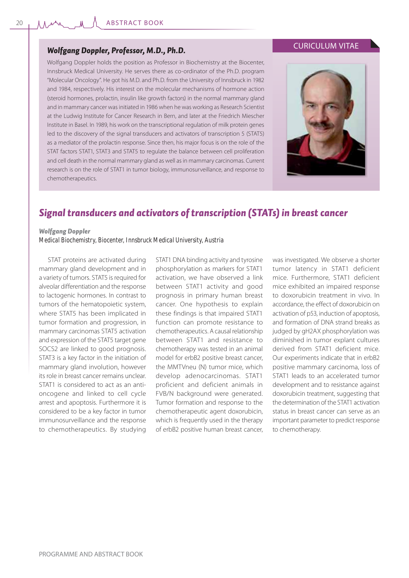## *Wolfgang Doppler, Professor, M.D., Ph.D.*

Wolfgang Doppler holds the position as Professor in Biochemistry at the Biocenter, Innsbruck Medical University. He serves there as co-ordinator of the Ph.D. program "Molecular Oncology". He got his M.D. and Ph.D. from the University of Innsbruck in 1982 and 1984, respectively. His interest on the molecular mechanisms of hormone action (steroid hormones, prolactin, insulin like growth factors) in the normal mammary gland and in mammary cancer was initiated in 1986 when he was working as Research Scientist at the Ludwig Institute for Cancer Research in Bern, and later at the Friedrich Miescher Institute in Basel. In 1989, his work on the transcriptional regulation of milk protein genes led to the discovery of the signal transducers and activators of transcription 5 (STAT5) as a mediator of the prolactin response. Since then, his major focus is on the role of the STAT factors STAT1, STAT3 and STAT5 to regulate the balance between cell proliferation and cell death in the normal mammary gland as well as in mammary carcinomas. Current research is on the role of STAT1 in tumor biology, immunosurveillance, and response to chemotherapeutics.





# *Signal transducers and activators of transcription (STATs) in breast cancer*

#### *Wolfgang Doppler*

*Medical Biochemistry, Biocenter, Innsbruck Medical University, Austria*

STAT proteins are activated during mammary gland development and in a variety of tumors. STAT5 is required for alveolar differentiation and the response to lactogenic hormones. In contrast to tumors of the hematopoietic system, where STAT5 has been implicated in tumor formation and progression, in mammary carcinomas STAT5 activation and expression of the STAT5 target gene SOCS2 are linked to good prognosis. STAT3 is a key factor in the initiation of mammary gland involution, however its role in breast cancer remains unclear. STAT1 is considered to act as an antioncogene and linked to cell cycle arrest and apoptosis. Furthermore it is considered to be a key factor in tumor immunosurveillance and the response to chemotherapeutics. By studying

STAT1 DNA binding activity and tyrosine phosphorylation as markers for STAT1 activation, we have observed a link between STAT1 activity and good prognosis in primary human breast cancer. One hypothesis to explain these findings is that impaired STAT1 function can promote resistance to chemotherapeutics. A causal relationship between STAT1 and resistance to chemotherapy was tested in an animal model for erbB2 positive breast cancer, the MMTVneu (N) tumor mice, which develop adenocarcinomas. STAT1 proficient and deficient animals in FVB/N background were generated. Tumor formation and response to the chemotherapeutic agent doxorubicin, which is frequently used in the therapy of erbB2 positive human breast cancer,

was investigated. We observe a shorter tumor latency in STAT1 deficient mice. Furthermore, STAT1 deficient mice exhibited an impaired response to doxorubicin treatment in vivo. In accordance, the effect of doxorubicin on activation of p53, induction of apoptosis, and formation of DNA strand breaks as judged by gH2AX phosphorylation was diminished in tumor explant cultures derived from STAT1 deficient mice. Our experiments indicate that in erbB2 positive mammary carcinoma, loss of STAT1 leads to an accelerated tumor development and to resistance against doxorubicin treatment, suggesting that the determination of the STAT1 activation status in breast cancer can serve as an important parameter to predict response to chemotherapy.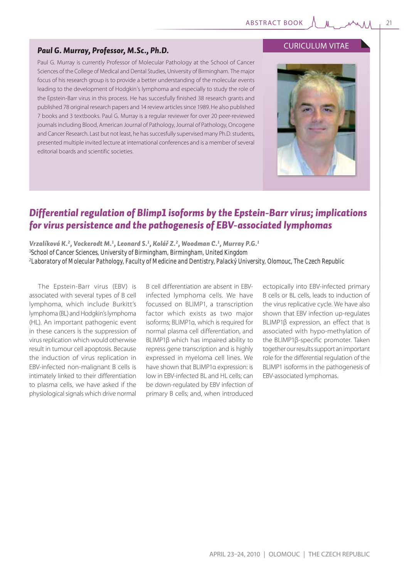## *Paul G. Murray, Professor, M.Sc., Ph.D.*

Paul G. Murray is currently Professor of Molecular Pathology at the School of Cancer Sciences of the College of Medical and Dental Studies, University of Birmingham. The major focus of his research group is to provide a better understanding of the molecular events leading to the development of Hodgkin´s lymphoma and especially to study the role of the Epstein-Barr virus in this process. He has succesfully finished 38 research grants and published 78 original research papers and 14 review articles since 1989. He also published 7 books and 3 textbooks. Paul G. Murray is a regular reviewer for over 20 peer-reviewed journals including Blood, American Journal of Pathology, Journal of Pathology, Oncogene and Cancer Research. Last but not least, he has succesfully supervised many Ph.D. students, presented multiple invited lecture at international conferences and is a member of several editorial boards and scientific societies.

## CURICULUM VITAE



# *Differential regulation of Blimp1 isoforms by the Epstein-Barr virus; implications for virus persistence and the pathogenesis of EBV-associated lymphomas*

*Vrzalíková K.2 , Vockerodt M.1 , Leonard S.1 , Kolář Z.2 , Woodman C.1 , Murray P.G.1 1 School of Cancer Sciences, University of Birmingham, Birmingham, United Kingdom 2 Laboratory of Molecular Pathology, Faculty of Medicine and Dentistry, Palacký University, Olomouc, The Czech Republic*

The Epstein-Barr virus (EBV) is associated with several types of B cell lymphoma, which include Burkitt's lymphoma (BL) and Hodgkin's lymphoma (HL). An important pathogenic event in these cancers is the suppression of virus replication which would otherwise result in tumour cell apoptosis. Because the induction of virus replication in EBV-infected non-malignant B cells is intimately linked to their differentiation to plasma cells, we have asked if the physiological signals which drive normal

B cell differentiation are absent in EBVinfected lymphoma cells. We have focussed on BLIMP1, a transcription factor which exists as two major isoforms; BLIMP1α, which is required for normal plasma cell differentiation, and BLIMP1β which has impaired ability to repress gene transcription and is highly expressed in myeloma cell lines. We have shown that BLIMP1α expression: is low in EBV-infected BL and HL cells; can be down-regulated by EBV infection of primary B cells; and, when introduced

ectopically into EBV-infected primary B cells or BL cells, leads to induction of the virus replicative cycle. We have also shown that EBV infection up-regulates BLIMP1β expression, an effect that is associated with hypo-methylation of the BLIMP1β-specific promoter. Taken together our results support an important role for the differential regulation of the BLIMP1 isoforms in the pathogenesis of EBV-associated lymphomas.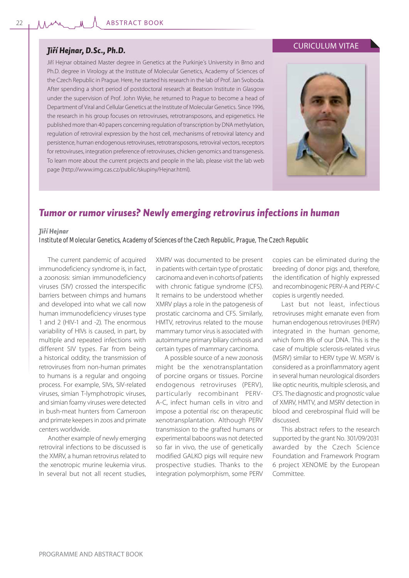## *Jiří Hejnar, D.Sc., Ph.D.*

Jiří Hejnar obtained Master degree in Genetics at the Purkinje´s University in Brno and Ph.D. degree in Virology at the Institute of Molecular Genetics, Academy of Sciences of the Czech Republic in Prague. Here, he started his research in the lab of Prof. Jan Svoboda. After spending a short period of postdoctoral research at Beatson Institute in Glasgow under the supervision of Prof. John Wyke, he returned to Prague to become a head of Department of Viral and Cellular Genetics at the Institute of Molecular Genetics. Since 1996, the research in his group focuses on retroviruses, retrotransposons, and epigenetics. He published more than 40 papers concerning regulation of transcription by DNA methylation, regulation of retroviral expression by the host cell, mechanisms of retroviral latency and persistence, human endogenous retroviruses, retrotransposons, retroviral vectors, receptors for retroviruses, integration preference of retroviruses, chicken genomics and transgenesis. To learn more about the current projects and people in the lab, please visit the lab web page (http://www.img.cas.cz/public/skupiny/Hejnar.html).





# *Tumor or rumor viruses? Newly emerging retrovirus infections in human*

#### *Jiří Hejnar*

*Institute of Molecular Genetics, Academy of Sciences of the Czech Republic, Prague, The Czech Republic*

The current pandemic of acquired immunodeficiency syndrome is, in fact, a zoonosis: simian immunodeficiency viruses (SIV) crossed the interspecific barriers between chimps and humans and developed into what we call now human immunodeficiency viruses type 1 and 2 (HIV-1 and -2). The enormous variability of HIVs is caused, in part, by multiple and repeated infections with different SIV types. Far from being a historical oddity, the transmission of retroviruses from non-human primates to humans is a regular and ongoing process. For example, SIVs, SIV-related viruses, simian T-lymphotropic viruses, and simian foamy viruses were detected in bush-meat hunters from Cameroon and primate keepers in zoos and primate centers worldwide.

Another example of newly emerging retroviral infections to be discussed is the XMRV, a human retrovirus related to the xenotropic murine leukemia virus. In several but not all recent studies, XMRV was documented to be present in patients with certain type of prostatic carcinoma and even in cohorts of patients with chronic fatigue syndrome (CFS). It remains to be understood whether XMRV plays a role in the patogenesis of prostatic carcinoma and CFS. Similarly, HMTV, retrovirus related to the mouse mammary tumor virus is associated with autoimmune primary biliary cirrhosis and certain types of mammary carcinoma.

A possible source of a new zoonosis might be the xenotransplantation of porcine organs or tissues. Porcine endogenous retroviruses (PERV), particularly recombinant PERV-A-C, infect human cells in vitro and impose a potential risc on therapeutic xenotransplantation. Although PERV transmission to the grafted humans or experimental baboons was not detected so far in vivo, the use of genetically modified GALKO pigs will require new prospective studies. Thanks to the integration polymorphism, some PERV copies can be eliminated during the breeding of donor pigs and, therefore, the identification of highly expressed and recombinogenic PERV-A and PERV-C copies is urgently needed.

Last but not least, infectious retroviruses might emanate even from human endogenous retroviruses (HERV) integrated in the human genome, which form 8% of our DNA. This is the case of multiple sclerosis-related virus (MSRV) similar to HERV type W. MSRV is considered as a proinflammatory agent in several human neurological disorders like optic neuritis, multiple sclerosis, and CFS. The diagnostic and prognostic value of XMRV, HMTV, and MSRV detection in blood and cerebrospinal fluid will be discussed.

This abstract refers to the research supported by the grant No. 301/09/2031 awarded by the Czech Science Foundation and Framework Program 6 project XENOME by the European Committee.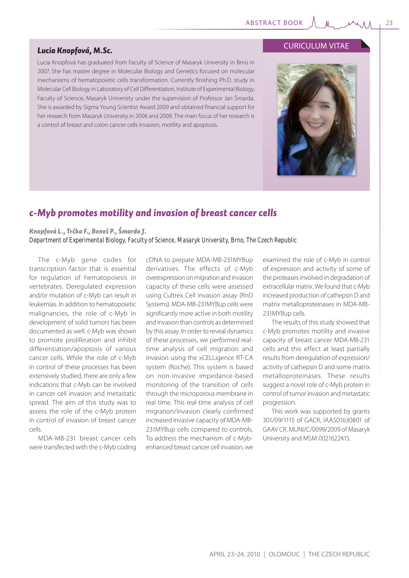## *Lucia Knopfová, M.Sc.*

Lucia Knopfová has graduated from Faculty of Science of Masaryk University in Brno in 2007. She has master degree in Molecular Biology and Genetics focused on molecular mechanisms of hematopoietic cells transformation. Currently finishing Ph.D. study in Molecular Cell Biology in Laboratory of Cell Differentiation, Institute of Experimental Biology, Faculty of Science, Masaryk University under the supervision of Professor Jan Šmarda. She is awarded by Sigma Young Scientist Award 2009 and obtained financial support for her research from Masaryk University in 2006 and 2009. The main focus of her research is a control of breast and colon cancer cells invasion, motility and apoptosis.

# *c-Myb promotes motility and invasion of breast cancer cells*

*Knopfová L., Trčka F., Beneš P., Šmarda J. Department of Experimental Biology, Faculty of Science, Masaryk University, Brno, The Czech Republic*

The c-Myb gene codes for transcription factor that is essential for regulation of hematopoiesis in vertebrates. Deregulated expression and/or mutation of c-Myb can result in leukemias. In addition to hematopoietic malignancies, the role of c-Myb in development of solid tumors has been documented as well. c-Myb was shown to promote proliferation and inhibit differentiation/apoptosis of various cancer cells. While the role of c-Myb in control of these processes has been extensively studied, there are only a few indications that c-Myb can be involved in cancer cell invasion and metastatic spread. The aim of this study was to assess the role of the c-Myb protein in control of invasion of breast cancer cells.

MDA-MB-231 breast cancer cells were transfected with the c-Myb coding

cDNA to prepare MDA-MB-231MYBup derivatives. The effects of c-Myb overexpression on migration and invasion capacity of these cells were assessed using Cultrex Cell invasion assay (RnD Systems). MDA-MB-231MYBup cells were significantly more active in both motility and invasion than controls as determined by this assay. In order to reveal dynamics of these processes, we performed realtime analysis of cell migration and invasion using the xCELLigence RT-CA system (Roche). This system is based on non-invasive impedance-based monitoring of the transition of cells through the microporous membrane in real time. This real-time analysis of cell migration/invasion clearly confirmed increased invasive capacity of MDA-MB-231MYBup cells compared to controls. To address the mechanism of c-Mybenhanced breast cancer cell invasion, we

examined the role of c-Myb in control of expression and activity of some of the proteases involved in degradation of extracellular matrix. We found that c-Myb increased production of cathepsin D and matrix metalloproteinases in MDA-MB-231MYBup cells.

The results of this study showed that c-Myb promotes motility and invasive capacity of breast cancer MDA-MB-231 cells and this effect at least partially results from deregulation of expression/ activity of cathepsin D and some matrix metalloproteinases. These results suggest a novel role of c-Myb protein in control of tumor invasion and metastatic progression.

This work was supported by grants 301/09/1115 of GACR, IAA501630801 of GAAV CR, MUNI/C/0099/2009 of Masaryk University and MSM 0021622415.



CURICULUM VITAE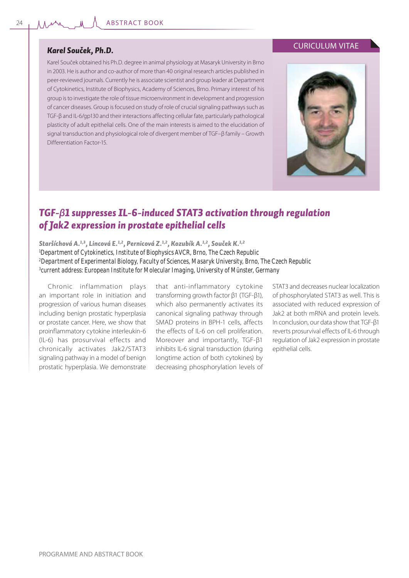## *Karel Souček, Ph.D.*

Karel Souček obtained his Ph.D. degree in animal physiology at Masaryk University in Brno in 2003. He is author and co-author of more than 40 original research articles published in peer-reviewed journals. Currently he is associate scientist and group leader at Department of Cytokinetics, Institute of Biophysics, Academy of Sciences, Brno. Primary interest of his group is to investigate the role of tissue microenvironment in development and progression of cancer diseases. Group is focused on study of role of crucial signaling pathways such as TGF-β and IL-6/gp130 and their interactions affecting cellular fate, particularly pathological plasticity of adult epithelial cells. One of the main interests is aimed to the elucidation of signal transduction and physiological role of divergent member of TGF–β family – Growth Differentiation Factor-15.

## CURICULUM VITAE



# *TGF-β1 suppresses IL-6-induced STAT3 activation through regulation of Jak2 expression in prostate epithelial cells*

*Staršíchová A.1,3, Lincová E.1,2, Pernicová Z.1,2, Kozubík A.1,2, Souček K.1,2 Department of Cytokinetics, Institute of Biophysics AVCR, Brno, The Czech Republic Department of Experimental Biology, Faculty of Sciences, Masaryk University, Brno, The Czech Republic current address: European Institute for Molecular Imaging, University of Münster, Germany*

Chronic inflammation plays an important role in initiation and progression of various human diseases including benign prostatic hyperplasia or prostate cancer. Here, we show that proinflammatory cytokine interleukin-6 (IL-6) has prosurvival effects and chronically activates Jak2/STAT3 signaling pathway in a model of benign prostatic hyperplasia. We demonstrate

that anti-inflammatory cytokine transforming growth factor β1 (TGF-β1), which also permanently activates its canonical signaling pathway through SMAD proteins in BPH-1 cells, affects the effects of IL-6 on cell proliferation. Moreover and importantly, TGF-β1 inhibits IL-6 signal transduction (during longtime action of both cytokines) by decreasing phosphorylation levels of STAT3 and decreases nuclear localization of phosphorylated STAT3 as well. This is associated with reduced expression of Jak2 at both mRNA and protein levels. In conclusion, our data show that TGF-β1 reverts prosurvival effects of IL-6 through regulation of Jak2 expression in prostate epithelial cells.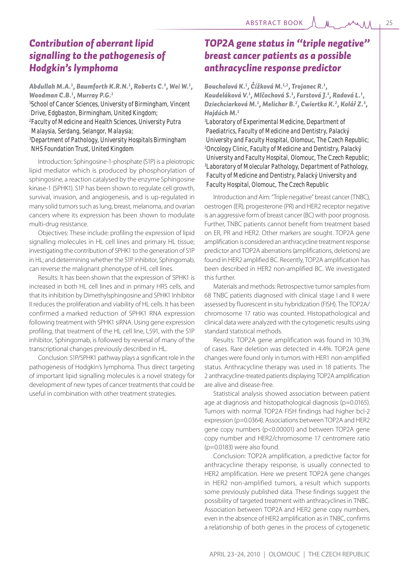# *Contribution of aberrant lipid signalling to the pathogenesis of Hodgkin's lymphoma*

## *Abdullah M.A.1 , Baumforth K.R.N.1 , Roberts C.3 , Wei W.1 , Woodman C.B.1 , Murray P.G.1*

*1 School of Cancer Sciences, University of Birmingham, Vincent Drive, Edgbaston, Birmingham, United Kingdom; 2 Faculty of Medicine and Health Sciences, University Putra Malaysia, Serdang, Selangor, Malaysia;*

*3 Department of Pathology, University Hospitals Birmingham NHS Foundation Trust, United Kingdom*

Introduction: Sphingosine-1-phosphate (S1P) is a pleiotropic lipid mediator which is produced by phosphorylation of sphingosine, a reaction catalysed by the enzyme Sphingosine kinase-1 (SPHK1). S1P has been shown to regulate cell growth, survival, invasion, and angiogenesis, and is up-regulated in many solid tumors such as lung, breast, melanoma, and ovarian cancers where its expression has been shown to modulate multi-drug resistance.

Objectives: These include: profiling the expression of lipid signalling molecules in HL cell lines and primary HL tissue; investigating the contribution of SPHK1 to the generation of S1P in HL; and determining whether the S1P inhibitor, Sphingomab, can reverse the malignant phenotype of HL cell lines.

Results: It has been shown that the expression of SPHK1 is increased in both HL cell lines and in primary HRS cells, and that its inhibition by Dimethylsphingosine and SPHK1 Inhibitor II reduces the proliferation and viability of HL cells. It has been confirmed a marked reduction of SPHK1 RNA expression following treatment with SPHK1 siRNA. Using gene expression profiling, that treatment of the HL cell line, L591, with the S1P inhibitor, Sphingomab, is followed by reversal of many of the transcriptional changes previously described in HL.

Conclusion: S1P/SPHK1 pathway plays a significant role in the pathogenesis of Hodgkin's lymphoma. Thus direct targeting of important lipid signalling molecules is a novel strategy for development of new types of cancer treatments that could be useful in combination with other treatment strategies.

# *TOP2A gene status in "triple negative" breast cancer patients as a possible anthracycline response predictor*

*Bouchalová K.1 , Čížková M.1,2, Trojanec R.1 , Koudeláková V.1 , Mlčochová S.1 , Furstová J.1 , Radová L.1 , Dziechciarková M.1 , Melichar B.2 , Cwiertka K.2 , Kolář Z.3 , Hajdúch M.1*

*1 Laboratory of Experimental Medicine, Department of Paediatrics, Faculty of Medicine and Dentistry, Palacký University and Faculty Hospital, Olomouc, The Czech Republic; 2 Oncology Clinic, Faculty of Medicine and Dentistry, Palacký University and Faculty Hospital, Olomouc, The Czech Republic; 3 Laboratory of Molecular Pathology, Department of Pathology, Faculty of Medicine and Dentistry, Palacký University and Faculty Hospital, Olomouc, The Czech Republic*

Introduction and Aim: "Triple negative" breast cancer (TNBC), oestrogen (ER), progesterone (PR) and HER2 receptor negative is an aggressive form of breast cancer (BC) with poor prognosis. Further, TNBC patients cannot benefit from treatment based on ER, PR and HER2. Other markers are sought. TOP2A gene amplification is considered an anthracycline treatment response predictor and TOP2A aberrations (amplifications, deletions) are found in HER2 amplified BC. Recently, TOP2A amplification has been described in HER2 non-amplified BC. We investigated this further.

Materials and methods: Retrospective tumor samples from 68 TNBC patients diagnosed with clinical stage I and II were assessed by fluorescent in situ hybridization (FISH). The TOP2A/ chromosome 17 ratio was counted. Histopathological and clinical data were analyzed with the cytogenetic results using standard statistical methods.

Results: TOP2A gene amplification was found in 10.3% of cases. Rare deletion was detected in 4.4%. TOP2A gene changes were found only in tumors with HER1 non-amplified status. Anthracycline therapy was used in 18 patients. The 2 anthracycline-treated patients displaying TOP2A amplification are alive and disease-free.

Statistical analysis showed association between patient age at diagnosis and histopathological diagnosis (p=0.0165). Tumors with normal TOP2A FISH findings had higher bcl-2 expression (p=0.0364). Associations between TOP2A and HER2 gene copy numbers (p<0.00001) and between TOP2A gene copy number and HER2/chromosome 17 centromere ratio (p=0.0183) were also found.

Conclusion: TOP2A amplification, a predictive factor for anthracycline therapy response, is usually connected to HER2 amplification. Here we present TOP2A gene changes in HER2 non-amplified tumors, a result which supports some previously published data. These findings suggest the possibility of targeted treatment with anthracyclines in TNBC. Association between TOP2A and HER2 gene copy numbers, even in the absence of HER2 amplification as in TNBC, confirms a relationship of both genes in the process of cytogenetic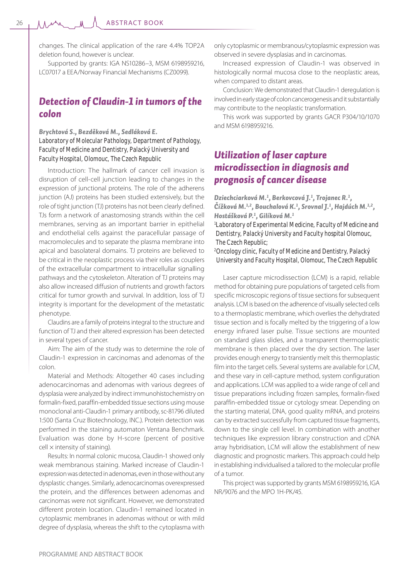changes. The clinical application of the rare 4.4% TOP2A deletion found, however is unclear.

Supported by grants: IGA NS10286–3, MSM 6198959216, LC07017 a EEA/Norway Financial Mechanisms (CZ0099).

# *Detection of Claudin-1 in tumors of the colon*

## *Brychtová S., Bezděková M., Sedláková E. Laboratory of Molecular Pathology, Department of Pathology, Faculty of Medicine and Dentistry, Palacký University and Faculty Hospital, Olomouc, The Czech Republic*

Introduction: The hallmark of cancer cell invasion is disruption of cell-cell junction leading to changes in the expression of junctional proteins. The role of the adherens junction (AJ) proteins has been studied extensively, but the role of tight junction (TJ) proteins has not been clearly defined. TJs form a network of anastomosing strands within the cell membranes, serving as an important barrier in epithelial and endothelial cells against the paracellular passage of macromolecules and to separate the plasma membrane into apical and basolateral domains. TJ proteins are believed to be critical in the neoplastic process via their roles as couplers of the extracellular compartment to intracellullar signalling pathways and the cytoskeleton. Alteration of TJ proteins may also allow increased diffusion of nutrients and growth factors critical for tumor growth and survival. In addition, loss of TJ integrity is important for the development of the metastatic phenotype.

Claudins are a family of proteins integral to the structure and function of TJ and their altered expression has been detected in several types of cancer.

Aim: The aim of the study was to determine the role of Claudin-1 expression in carcinomas and adenomas of the colon.

Material and Methods: Altogether 40 cases including adenocarcinomas and adenomas with various degrees of dysplasia were analyzed by indirect immunohistochemistry on formalin-fixed, paraffin-embedded tissue sections using mouse monoclonal anti-Claudin-1 primary antibody, sc-81796 diluted 1:500 (Santa Cruz Biotechnology, INC.). Protein detection was performed in the staining automaton Ventana Benchmark. Evaluation was done by H-score (percent of positive  $cell \times$  intensity of staining).

Results: In normal colonic mucosa, Claudin-1 showed only weak membranous staining. Marked increase of Claudin-1 expression was detected in adenomas, even in those without any dysplastic changes. Similarly, adenocarcinomas overexpressed the protein, and the differences between adenomas and carcinomas were not significant. However, we demonstrated different protein location. Claudin-1 remained located in cytoplasmic membranes in adenomas without or with mild degree of dysplasia, whereas the shift to the cytoplasma with only cytoplasmic or membranous/cytoplasmic expression was observed in severe dysplasias and in carcinomas.

Increased expression of Claudin-1 was observed in histologically normal mucosa close to the neoplastic areas, when compared to distant areas.

Conclusion: We demonstrated that Claudin-1 deregulation is involved in early stage of colon cancerogenesis and it substantially may contribute to the neoplastic transformation.

This work was supported by grants GACR P304/10/1070 and MSM 6198959216.

# *Utilization of laser capture microdissection in diagnosis and prognosis of cancer disease*

*Dziechciarková M.1 , Berkovcová J.1 , Trojanec R.1 , Čížková M.1,2, Bouchalová K.1 , Srovnal J.1 , Hajdúch M.1,2, Hostášková P.1 , Gilíková M.1 1 Laboratory of Experimental Medicine, Faculty of Medicine and Dentistry, Palacký University and Faculty hospital Olomouc, The Czech Republic; 2 Oncology clinic, Faculty of Medicine and Dentistry, Palacký* 

*University and Faculty Hospital, Olomouc, The Czech Republic*

Laser capture microdissection (LCM) is a rapid, reliable method for obtaining pure populations of targeted cells from specific microscopic regions of tissue sections for subsequent analysis. LCM is based on the adherence of visually selected cells to a thermoplastic membrane, which overlies the dehydrated tissue section and is focally melted by the triggering of a low energy infrared laser pulse. Tissue sections are mounted on standard glass slides, and a transparent thermoplastic membrane is then placed over the dry section. The laser provides enough energy to transiently melt this thermoplastic film into the target cells. Several systems are available for LCM, and these vary in cell-capture method, system configuration and applications. LCM was applied to a wide range of cell and tissue preparations including frozen samples, formalin-fixed paraffin-embedded tissue or cytology smear. Depending on the starting material, DNA, good quality mRNA, and proteins can by extracted successfully from captured tissue fragments, down to the single cell level. In combination with another techniques like expression library construction and cDNA array hybridisation, LCM will allow the establishment of new diagnostic and prognostic markers. This approach could help in establishing individualised a tailored to the molecular profile of a tumor.

This project was supported by grants MSM 6198959216, IGA NR/9076 and the MPO 1H-PK/45.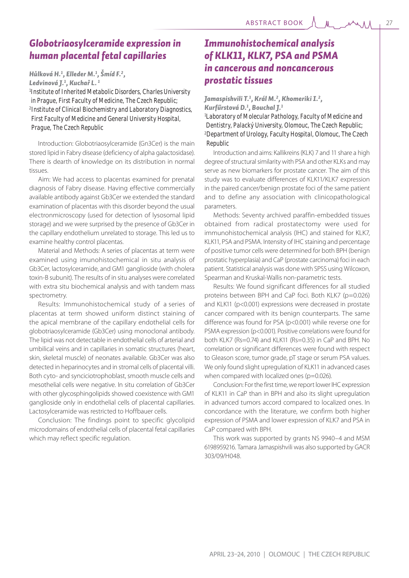*Hůlková H.1 , Elleder M.1 , Šmíd F.2 ,* 

*Ledvinová J.1 , Kuchař L. 1*

*1 Institute of Inherited Metabolic Disorders, Charles University in Prague, First Faculty of Medicine, The Czech Republic; 2 Institute of Clinical Biochemistry and Laboratory Diagnostics, First Faculty of Medicine and General University Hospital, Prague, The Czech Republic*

Introduction: Globotriaosylceramide (Gn3Cer) is the main stored lipid in Fabry disease (deficiency of alpha galactosidase). There is dearth of knowledge on its distribution in normal tissues.

Aim: We had access to placentas examined for prenatal diagnosis of Fabry disease. Having effective commercially available antibody against Gb3Cer we extended the standard examination of placentas with this disorder beyond the usual electronmicroscopy (used for detection of lysosomal lipid storage) and we were surprised by the presence of Gb3Cer in the capillary endothelium unrelated to storage. This led us to examine healthy control placentas.

Material and Methods: A series of placentas at term were examined using imunohistochemical in situ analysis of Gb3Cer, lactosylceramide, and GM1 ganglioside (with cholera toxin-B subunit). The results of in situ analyses were correlated with extra situ biochemical analysis and with tandem mass spectrometry.

Results: Immunohistochemical study of a series of placentas at term showed uniform distinct staining of the apical membrane of the capillary endothelial cells for globotriaosylceramide (Gb3Cer) using monoclonal antibody. The lipid was not detectable in endothelial cells of arterial and umbilical veins and in capillaries in somatic structures (heart, skin, skeletal muscle) of neonates available. Gb3Cer was also detected in heparinocytes and in stromal cells of placental villi. Both cyto- and synciciotrophoblast, smooth muscle cells and mesothelial cells were negative. In situ correlation of Gb3Cer with other glycosphingolipids showed coexistence with GM1 ganglioside only in endothelial cells of placental capillaries. Lactosylceramide was restricted to Hoffbauer cells.

Conclusion: The findings point to specific glycolipid microdomains of endothelial cells of placental fetal capillaries which may reflect specific regulation.

# *Immunohistochemical analysis of KLK11, KLK7, PSA and PSMA in cancerous and noncancerous prostatic tissues*

*Jamaspishvili T.1 , Král M.2 , Khomeriki I.2 , Kurfűrstová D.1 , Bouchal J.1 1 Laboratory of Molecular Pathology, Faculty of Medicine and Dentistry, Palacký University, Olomouc, The Czech Republic; 2 Department of Urology, Faculty Hospital, Olomouc, The Czech Republic*

Introduction and aims: Kallikreins (KLK) 7 and 11 share a high degree of structural similarity with PSA and other KLKs and may serve as new biomarkers for prostate cancer. The aim of this study was to evaluate differences of KLK11/KLK7 expression in the paired cancer/benign prostate foci of the same patient and to define any association with clinicopathological parameters.

Methods: Seventy archived paraffin-embedded tissues obtained from radical prostatectomy were used for immunohistochemical analysis (IHC) and stained for KLK7, KLK11, PSA and PSMA. Intensity of IHC staining and percentage of positive tumor cells were determined for both BPH (benign prostatic hyperplasia) and CaP (prostate carcinoma) foci in each patient. Statistical analysis was done with SPSS using Wilcoxon, Spearman and Kruskal-Wallis non-parametric tests.

Results: We found significant differences for all studied proteins between BPH and CaP foci. Both KLK7 (p=0.026) and KLK11 (p<0.001) expressions were decreased in prostate cancer compared with its benign counterparts. The same difference was found for PSA (p<0.001) while reverse one for PSMA expression (p<0.001). Positive correlations were found for both KLK7 (Rs=0.74) and KLK11 (Rs=0.35) in CaP and BPH. No correlation or significant differences were found with respect to Gleason score, tumor grade, pT stage or serum PSA values. We only found slight upregulation of KLK11 in advanced cases when compared with localized ones (p=0.026).

Conclusion: For the first time, we report lower IHC expression of KLK11 in CaP than in BPH and also its slight upregulation in advanced tumors accord compared to localized ones. In concordance with the literature, we confirm both higher expression of PSMA and lower expression of KLK7 and PSA in CaP compared with BPH.

This work was supported by grants NS 9940–4 and MSM 6198959216. Tamara Jamaspishvili was also supported by GACR 303/09/H048.

 $M$   $M$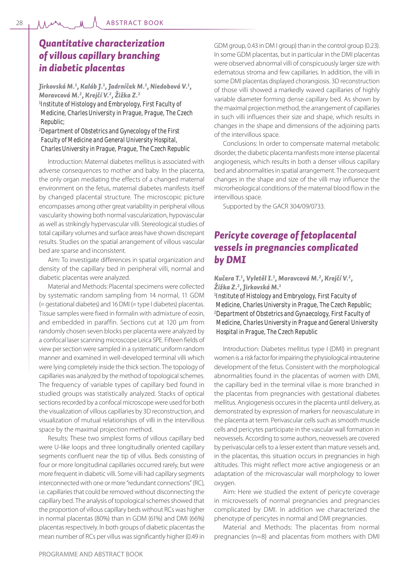# *Quantitative characterization of villous capillary branching in diabetic placentas*

*Jirkovská M.1 , Kaláb J.1 , Jadrníček M.1 , Niedobová V.1 , Moravcová M.2 , Krejčí V.2 , Žižka Z.2 1 Institute of Histology and Embryology, First Faculty of Medicine, Charles University in Prague, Prague, The Czech Republic;*

*2 Department of Obstetrics and Gynecology of the First Faculty of Medicine and General University Hospital, Charles University in Prague, Prague, The Czech Republic*

Introduction: Maternal diabetes mellitus is associated with adverse consequences to mother and baby. In the placenta, the only organ mediating the effects of a changed maternal environment on the fetus, maternal diabetes manifests itself by changed placental structure. The microscopic picture encompasses among other great variability in peripheral villous vascularity showing both normal vascularization, hypovascular as well as strikingly hypervascular villi. Stereological studies of total capillary volumes and surface areas have shown discrepant results. Studies on the spatial arrangement of villous vascular bed are sparse and inconsistent.

Aim: To investigate differences in spatial organization and density of the capillary bed in peripheral villi, normal and diabetic placentas were analyzed.

Material and Methods: Placental specimens were collected by systematic random sampling from 14 normal, 11 GDM (= gestational diabetes) and 16 DMI (= type I diabetes) placentas. Tissue samples were fixed in formalin with admixture of eosin, and embedded in paraffin. Sections cut at 120 μm from randomly chosen seven blocks per placenta were analyzed by a confocal laser scanning microscope Leica SPE. Fifteen fields of view per section were sampled in a systematic uniform random manner and examined in well-developed terminal villi which were lying completely inside the thick section. The topology of capillaries was analyzed by the method of topological schemes. The frequency of variable types of capillary bed found in studied groups was statistically analyzed. Stacks of optical sections recorded by a confocal microscope were used for both the visualization of villous capillaries by 3D reconstruction, and visualization of mutual relationships of villi in the intervillous space by the maximal projection method.

Results: These two simplest forms of villous capillary bed were U-like loops and three longitudinally oriented capillary segments confluent near the tip of villus. Beds consisting of four or more longitudinal capillaries occurred rarely, but were more frequent in diabetic villi. Some villi had capillary segments interconnected with one or more "redundant connections" (RC), i.e. capillaries that could be removed without disconnecting the capillary bed. The analysis of topological schemes showed that the proportion of villous capillary beds without RCs was higher in normal placentas (80%) than in GDM (61%) and DMI (66%) placentas respectively. In both groups of diabetic placentas the mean number of RCs per villus was significantly higher (0.49 in

GDM group, 0.43 in DM I group) than in the control group (0.23). In some GDM placentas, but in particular in the DMI placentas were observed abnormal villi of conspicuously larger size with edematous stroma and few capillaries. In addition, the villi in some DMI placentas displayed chorangiosis. 3D reconstruction of those villi showed a markedly waved capillaries of highly variable diameter forming dense capillary bed. As shown by the maximal projection method, the arrangement of capillaries in such villi influences their size and shape, which results in changes in the shape and dimensions of the adjoining parts of the intervillous space.

Conclusions: In order to compensate maternal metabolic disorder, the diabetic placenta manifests more intense placental angiogenesis, which results in both a denser villous capillary bed and abnormalities in spatial arrangement. The consequent changes in the shape and size of the villi may influence the microrheological conditions of the maternal blood flow in the intervillous space.

Supported by the GACR 304/09/0733.

# *Pericyte coverage of fetoplacental vessels in pregnancies complicated by DMI*

## *Kučera T.1 , Vyletěl I.1 , Moravcová M.2 , Krejčí V.2 , Žižka Z.2 , Jirkovská M.1*

*1 Institute of Histology and Embryology, First Faculty of Medicine, Charles University in Prague, The Czech Republic; 2 Department of Obstetrics and Gynaecology, First Faculty of Medicine, Charles University in Prague and General University Hospital in Prague, The Czech Republic*

Introduction: Diabetes mellitus type I (DMI) in pregnant women is a risk factor for impairing the physiological intrauterine development of the fetus. Consistent with the morphological abnormalities found in the placentas of women with DMI, the capillary bed in the terminal villae is more branched in the placentas from pregnancies with gestational diabetes mellitus. Angiogenesis occures in the placenta until delivery, as demonstrated by expression of markers for neovasculature in the placenta at term. Perivascular cells such as smooth muscle cells and pericytes participate in the vascular wall formation in neovessels. According to some authors, neovessels are covered by perivascular cells to a lesser extent than mature vessels and, in the placentas, this situation occurs in pregnancies in high altitudes. This might reflect more active angiogenesis or an adaptation of the microvascular wall morphology to lower oxygen.

Aim: Here we studied the extent of pericyte coverage in microvessels of normal pregnancies and pregnancies complicated by DMI. In addition we characterized the phenotype of pericytes in normal and DMI pregnancies.

Material and Methods: The placentas from normal pregnancies (n=8) and placentas from mothers with DMI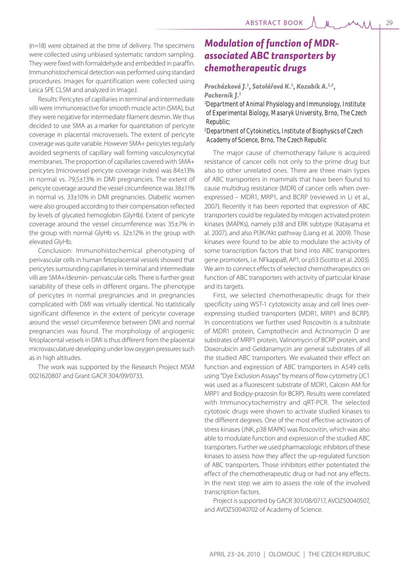(n=18) were obtained at the time of delivery. The specimens were collected using unbiased systematic random sampling. They were fixed with formaldehyde and embedded in paraffin. Immunohistochemical detection was performed using standard procedures. Images for quantification were collected using Leica SPE CLSM and analyzed in ImageJ.

Results: Pericytes of capillaries in terminal and intermediate villi were immunoreactive for smooth muscle actin (SMA), but they were negative for intermediate filament desmin. We thus decided to use SMA as a marker for quantitation of pericyte coverage in placental microvessels. The extent of pericyte coverage was quite variable. However SMA+ pericytes regularly avoided segments of capillary wall forming vasculosyncytial membranes. The proportion of capillaries covered with SMA+ pericytes (microvessel pericyte coverage index) was 84±13% in normal vs. 79,5±13% in DMI pregnancies. The extent of pericyte coverage around the vessel circumference was 38±11% in normal vs. 33±10% in DMI pregnancies. Diabetic women were also grouped according to their compensation reflected by levels of glycated hemoglobin (GlyHb). Extent of pericyte coverage around the vessel circumference was 35±7% in the group with normal GlyHb vs. 32±12% in the group with elevated GlyHb.

Conclusion: Immunohistochemical phenotyping of perivascular cells in human fetoplacental vessels showed that pericytes surrounding capillaries in terminal and intermediate villi are SMA+/desmin- perivascular cells. There is further great variability of these cells in different organs. The phenotype of pericytes in normal pregnancies and in pregnancies complicated with DMI was virtually identical. No statistically significant difference in the extent of pericyte coverage around the vessel circumference between DMI and normal pregnancies was found. The morphology of angiogenic fetoplacental vessels in DMI is thus different from the placental microvasculature developing under low oxygen pressures such as in high altitudes.

The work was supported by the Research Project MSM 0021620807 and Grant GACR 304/09/0733.

# *Modulation of function of MDRassociated ABC transporters by chemotherapeutic drugs*

*Procházková J.1 , Sotolářová K.1 , Kozubík A.1,2, Pacherník J.1*

*1 Department of Animal Physiology and Immunology, Institute of Experimental Biology, Masaryk University, Brno, The Czech Republic;*

### *2 Department of Cytokinetics, Institute of Biophysics of Czech Academy of Science, Brno, The Czech Republic*

The major cause of chemotherapy failure is acquired resistance of cancer cells not only to the prime drug but also to other unrelated ones. There are three main types of ABC transporters in mammals that have been found to cause multidrug resistance (MDR) of cancer cells when overexpressed – MDR1, MRP1, and BCRP (reviewed in Li et al., 2007). Recently it has been reported that expression of ABC transporters could be regulated by mitogen activated protein kinases (MAPKs), namely p38 and ERK subtype (Katayama et al. 2007), and also PI3K/Akt pathway (Liang et al. 2009). Those kinases were found to be able to modulate the activity of some transcription factors that bind into ABC transporters gene promoters, i.e. NFkappaB, AP1, or p53 (Scotto et al. 2003). We aim to connect effects of selected chemotherapeutics on function of ABC transporters with activity of particular kinase and its targets.

First, we selected chemotherapeutic drugs for their specificity using WST-1 cytotoxicity assay and cell lines overexpressing studied transporters (MDR1, MRP1 and BCRP). In concentrations we further used Roscovitin is a substrate of MDR1 protein, Camptothecin and Actinomycin D are substrates of MRP1 protein, Valinomycin of BCRP protein, and Doxorubicin and Geldanamycin are general substrates of all the studied ABC transporters. We evaluated their effect on function and expression of ABC transporters in A549 cells using "Dye Exclusion Assays" by means of flow cytometry (JC1 was used as a fluorescent substrate of MDR1, Calcein AM for MRP1 and Bodipy-prazosin for BCRP). Results were correlated with Immunocytochemistry and qRT-PCR. The selected cytotoxic drugs were shown to activate studied kinases to the different degrees. One of the most effective activators of stress kinases (JNK, p38 MAPK) was Roscovitin, which was also able to modulate function and expression of the studied ABC transporters. Further we used pharmacologic inhibitors of these kinases to assess how they affect the up-regulated function of ABC transporters. Those inhibitors either potentiated the effect of the chemotherapeutic drug or had not any effects. In the next step we aim to assess the role of the involved transcription factors.

Project is supported by GACR 301/08/0717, AVOZ50040507, and AVOZ50040702 of Academy of Science.

 $M$  and  $M$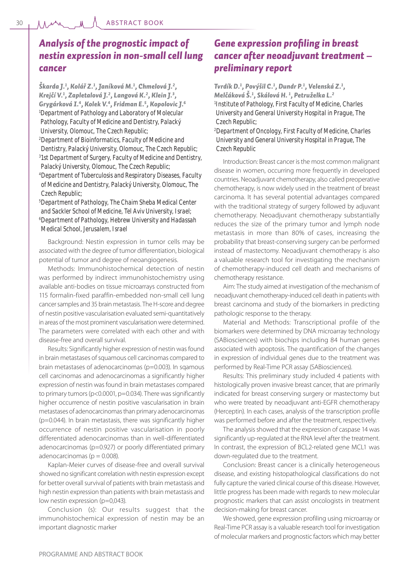# *Analysis of the prognostic impact of nestin expression in non-small cell lung cancer*

*Škarda J.1 , Kolář Z.1 , Janíková M.1 , Chmelová J.2 , Krejčí V.1 , Zapletalová J.2 , Langová K.2 , Klein J.3 , Grygárková I.4, Kolek V.4, Fridman E.5 , Kopolovic J.6 1 Department of Pathology and Laboratory of Molecular Pathology, Faculty of Medicine and Dentistry, Palacký University, Olomouc, The Czech Republic;*

*2 Department of Bioinformatics, Faculty of Medicine and Dentistry, Palacký University, Olomouc, The Czech Republic; 3 1st Department of Surgery, Faculty of Medicine and Dentistry,* 

*Palacký University, Olomouc, The Czech Republic; 4 Department of Tuberculosis and Respiratory Diseases, Faculty of Medicine and Dentistry, Palacký University, Olomouc, The Czech Republic;*

*5 Department of Pathology, The Chaim Sheba Medical Center and Sackler School of Medicine, Tel Aviv University, Israel; 6 Department of Pathology, Hebrew University and Hadassah Medical School, Jerusalem, Israel*

Background: Nestin expression in tumor cells may be associated with the degree of tumor differentiation, biological potential of tumor and degree of neoangiogenesis.

Methods: Immunohistochemical detection of nestin was performed by indirect immunohistochemistry using available anti-bodies on tissue microarrays constructed from 115 formalin-fixed paraffin-embedded non-small cell lung cancer samples and 35 brain metastasis. The H-score and degree of nestin positive vascularisation evaluated semi-quantitatively in areas of the most prominent vascularisation were determined. The parameters were correlated with each other and with disease-free and overall survival.

Results: Significantly higher expression of nestin was found in brain metastases of squamous cell carcinomas compared to brain metastases of adenocarcinomas (p=0.003). In sqamous cell carcinomas and adenocarcinomas a significantly higher expression of nestin was found in brain metastases compared to primary tumors (p<0.0001, p=0.034). There was significantly higher occurrence of nestin positive vascularisation in brain metastases of adenocarcinomas than primary adenocarcinomas (p=0.044). In brain metastasis, there was significantly higher occurrence of nestin positive vascularisation in poorly differentiated adenocarcinomas than in well-differentiated adenocarcinomas (p=0.927) or poorly differentiated primary adenocarcinomas ( $p = 0.008$ ).

Kaplan-Meier curves of disease-free and overall survival showed no significant correlation with nestin expression except for better overall survival of patients with brain metastasis and high nestin expression than patients with brain metastasis and low nestin expression (p=0,043).

Conclusion (s): Our results suggest that the immunohistochemical expression of nestin may be an important diagnostic marker

# *Gene expression profi ling in breast cancer after neoadjuvant treatment – preliminary report*

*Tvrdík D.1 , Povýšil C.1 , Dundr P.1 , Velenská Z.1 , Melčáková Š.1 , Skálová H. 1 , Petruželka L.2 1 Institute of Pathology, First Faculty of Medicine, Charles University and General University Hospital in Prague, The Czech Republic;*

*2 Department of Oncology, First Faculty of Medicine, Charles University and General University Hospital in Prague, The Czech Republic*

Introduction: Breast cancer is the most common malignant disease in women, occurring more frequently in developed countries. Neoadjuvant chemotherapy, also called preoperative chemotherapy, is now widely used in the treatment of breast carcinoma. It has several potential advantages compared with the traditional strategy of surgery followed by adjuvant chemotherapy. Neoadjuvant chemotherapy substantially reduces the size of the primary tumor and lymph node metastasis in more than 80% of cases, increasing the probability that breast-conserving surgery can be performed instead of mastectomy. Neoadjuvant chemotherapy is also a valuable research tool for investigating the mechanism of chemotherapy-induced cell death and mechanisms of chemotherapy resistance.

Aim: The study aimed at investigation of the mechanism of neoadjuvant chemotherapy-induced cell death in patients with breast carcinoma and study of the biomarkers in predicting pathologic response to the therapy.

Material and Methods: Transcriptional profile of the biomarkers were determined by DNA microarray technology (SABiosciences) with biochips including 84 human genes associated with apoptosis. The quantification of the changes in expression of individual genes due to the treatment was performed by Real-Time PCR assay (SABiosciences).

Results: This preliminary study included 4 patients with histologically proven invasive breast cancer, that are primarily indicated for breast conserving surgery or mastectomy but who were treated by neoadjuvant anti-EGFR chemotherapy (Herceptin). In each cases, analysis of the transcription profile was performed before and after the treatment, respectively.

The analysis showed that the expression of caspase 14 was significantly up-regulated at the RNA level after the treatment. In contrast, the expression of BCL2-related gene MCL1 was down-regulated due to the treatment.

Conclusion: Breast cancer is a clinically heterogeneous disease, and existing histopathological classifications do not fully capture the varied clinical course of this disease. However, little progress has been made with regards to new molecular prognostic markers that can assist oncologists in treatment decision-making for breast cancer.

We showed, gene expression profiling using microarray or Real-Time PCR assay is a valuable research tool for investigation of molecular markers and prognostic factors which may better

30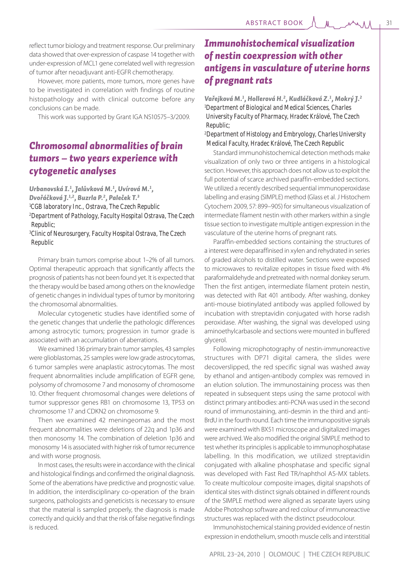reflect tumor biology and treatment response. Our preliminary data showed that over-expression of caspase 14 together with under-expression of MCL1 gene correlated well with regression of tumor after neoadjuvant anti-EGFR chemotherapy.

However, more patients, more tumors, more genes have to be investigated in correlation with findings of routine histopathology and with clinical outcome before any conclusions can be made.

This work was supported by Grant IGA NS10575–3/2009.

# *Chromosomal abnormalities of brain tumors – two years experience with cytogenetic analyses*

*Urbanovská I.1 , Jalůvková M.1 , Uvírová M.1 , Dvořáčková J.1,2, Buzrla P.2 , Paleček T.3 1 CGB laboratory Inc., Ostrava, The Czech Republic 2 Department of Pathology, Faculty Hospital Ostrava, The Czech Republic;*

*3 Clinic of Neurosurgery, Faculty Hospital Ostrava, The Czech Republic*

Primary brain tumors comprise about 1–2% of all tumors. Optimal therapeutic approach that significantly affects the prognosis of patients has not been found yet. It is expected that the therapy would be based among others on the knowledge of genetic changes in individual types of tumor by monitoring the chromosomal abnormalities.

Molecular cytogenetic studies have identified some of the genetic changes that underlie the pathologic differences among astrocytic tumors; progression in tumor grade is associated with an accumulation of aberrations.

We examined 136 primary brain tumor samples, 43 samples were glioblastomas, 25 samples were low grade astrocytomas, 6 tumor samples were anaplastic astrocytomas. The most frequent abnormalities include amplification of EGFR gene, polysomy of chromosome 7 and monosomy of chromosome 10. Other frequent chromosomal changes were deletions of tumor suppressor genes RB1 on chromosome 13, TP53 on chromosome 17 and CDKN2 on chromosome 9.

Then we examined 42 meningeomas and the most frequent abnormalities were deletions of 22q and 1p36 and then monosomy 14. The combination of deletion 1p36 and monosomy 14 is associated with higher risk of tumor recurrence and with worse prognosis.

In most cases, the results were in accordance with the clinical and histological findings and confirmed the original diagnosis. Some of the aberrations have predictive and prognostic value. In addition, the interdisciplinary co-operation of the brain surgeons, pathologists and geneticists is necessary to ensure that the material is sampled properly, the diagnosis is made correctly and quickly and that the risk of false negative findings is reduced.

# *Immunohistochemical visualization of nestin coexpression with other antigens in vasculature of uterine horns of pregnant rats*

*Vařejková M.1 , Hollerová H.2 , Kudláčková Z.1 , Mokrý J.2 1 Department of Biological and Medical Sciences, Charles University Faculty of Pharmacy, Hradec Králové, The Czech Republic;*

*2 Department of Histology and Embryology, Charles University Medical Faculty, Hradec Králové, The Czech Republic*

Standard immunohistochemical detection methods make visualization of only two or three antigens in a histological section. However, this approach does not allow us to exploit the full potential of scarce archived paraffin-embedded sections. We utilized a recently described sequential immunoperoxidase labelling and erasing (SIMPLE) method (Glass et al. J Histochem Cytochem 2009, 57: 899–905) for simultaneous visualization of intermediate filament nestin with other markers within a single tissue section to investigate multiple antigen expression in the vasculature of the uterine horns of pregnant rats.

Paraffin-embedded sections containing the structures of a interest were deparaffinised in xylen and rehydrated in series of graded alcohols to distilled water. Sections were exposed to microwaves to revitalize epitopes in tissue fixed with 4% paraformaldehyde and pretreated with normal donkey serum. Then the first antigen, intermediate filament protein nestin, was detected with Rat 401 antibody. After washing, donkey anti-mouse biotinylated antibody was applied followed by incubation with streptavidin conjugated with horse radish peroxidase. After washing, the signal was developed using aminoethylcarbasole and sections were mounted in buffered glycerol.

Following microphotography of nestin-immunoreactive structures with DP71 digital camera, the slides were decoverslipped, the red specific signal was washed away by ethanol and antigen-antibody complex was removed in an elution solution. The immunostaining process was then repeated in subsequent steps using the same protocol with distinct primary antibodies: anti-PCNA was used in the second round of immunostaining, anti-desmin in the third and anti-BrdU in the fourth round. Each time the immunopositive signals were examined with BX51 microscope and digitalized images were archived. We also modified the original SIMPLE method to test whether its principles is applicable to immunophosphatase labelling. In this modification, we utilized streptavidin conjugated with alkaline phosphatase and specific signal was developed with Fast Red TR/naphthol AS-MX tablets. To create multicolour composite images, digital snapshots of identical sites with distinct signals obtained in different rounds of the SIMPLE method were aligned as separate layers using Adobe Photoshop software and red colour of immunoreactive structures was replaced with the distinct pseudocolour.

Immunohistochemical staining provided evidence of nestin expression in endothelium, smooth muscle cells and interstitial

 $M_{\rm m}$   $M_{\rm A}$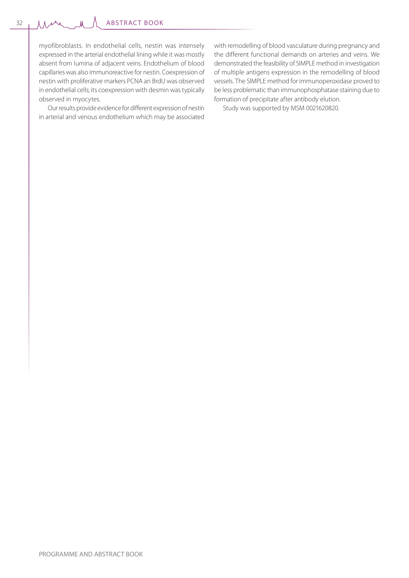ABSTRACT BOOK

myofibroblasts. In endothelial cells, nestin was intensely expressed in the arterial endothelial lining while it was mostly absent from lumina of adjacent veins. Endothelium of blood capillaries was also immunoreactive for nestin. Coexpression of nestin with proliferative markers PCNA an BrdU was observed in endothelial cells; its coexpression with desmin was typically observed in myocytes.

Our results provide evidence for different expression of nestin in arterial and venous endothelium which may be associated with remodelling of blood vasculature during pregnancy and the different functional demands on arteries and veins. We demonstrated the feasibility of SIMPLE method in investigation of multiple antigens expression in the remodelling of blood vessels. The SIMPLE method for immunoperoxidase proved to be less problematic than immunophosphatase staining due to formation of precipitate after antibody elution.

Study was supported by MSM 0021620820.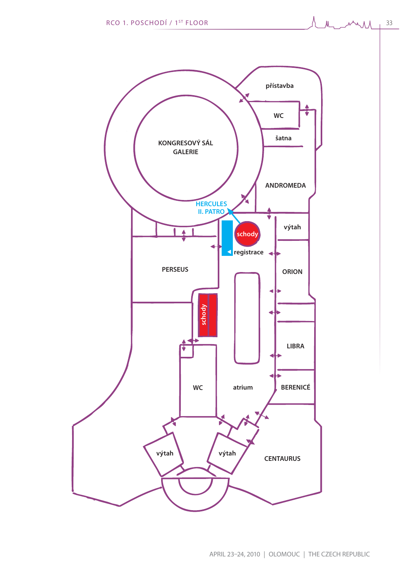

 $M_{\rm max}$ 

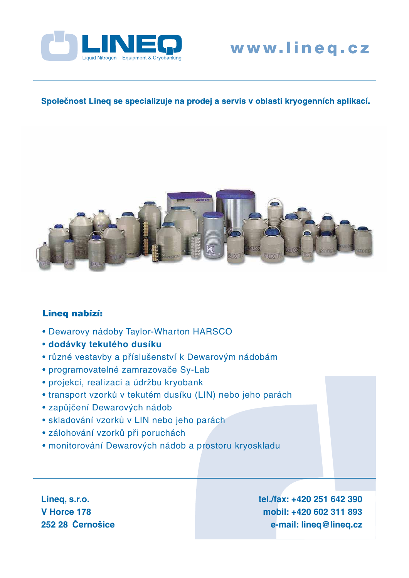

# www.lineq.cz

## Společnost Lineq se specializuje na prodej a servis v oblasti kryogenních aplikací.



## Lineq nabízí:

- Dewarovy nádoby Taylor-Wharton HARSCO
- **dodávky tekutého dusíku**
- různé vestavby a příslušenství k Dewarovým nádobám
- programovatelné zamrazovače Sy-Lab
- projekci, realizaci a údržbu kryobank
- transport vzorků v tekutém dusíku (LIN) nebo jeho parách
- zapůjčení Dewarových nádob
- skladování vzorků v LIN nebo jeho parách
- zálohování vzorků při poruchách
- monitorování Dewarových nádob a prostoru kryoskladu

**Lineq, s.r.o. V Horce 178 252 28 Černošice** **tel./fax: +420 251 642 390 mobil: +420 602 311 893 e-mail: lineq@lineq.cz**